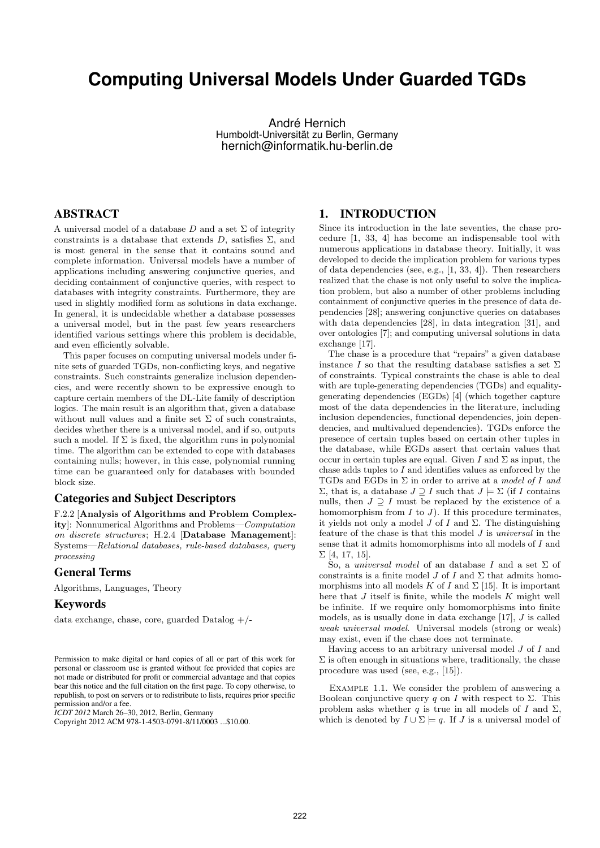# **Computing Universal Models Under Guarded TGDs**

André Hernich Humboldt-Universität zu Berlin, Germany hernich@informatik.hu-berlin.de

# ABSTRACT

A universal model of a database  $D$  and a set  $\Sigma$  of integrity constraints is a database that extends  $D$ , satisfies  $\Sigma$ , and is most general in the sense that it contains sound and complete information. Universal models have a number of applications including answering conjunctive queries, and deciding containment of conjunctive queries, with respect to databases with integrity constraints. Furthermore, they are used in slightly modified form as solutions in data exchange. In general, it is undecidable whether a database possesses a universal model, but in the past few years researchers identified various settings where this problem is decidable, and even efficiently solvable.

This paper focuses on computing universal models under finite sets of guarded TGDs, non-conflicting keys, and negative constraints. Such constraints generalize inclusion dependencies, and were recently shown to be expressive enough to capture certain members of the DL-Lite family of description logics. The main result is an algorithm that, given a database without null values and a finite set  $\Sigma$  of such constraints, decides whether there is a universal model, and if so, outputs such a model. If  $\Sigma$  is fixed, the algorithm runs in polynomial time. The algorithm can be extended to cope with databases containing nulls; however, in this case, polynomial running time can be guaranteed only for databases with bounded block size.

#### Categories and Subject Descriptors

F.2.2 [Analysis of Algorithms and Problem Complexity]: Nonnumerical Algorithms and Problems—Computation on discrete structures; H.2.4 [Database Management]: Systems—Relational databases, rule-based databases, query processing

# General Terms

Algorithms, Languages, Theory

#### Keywords

data exchange, chase, core, guarded Datalog +/-

*ICDT 2012* March 26–30, 2012, Berlin, Germany

#### 1. INTRODUCTION

Since its introduction in the late seventies, the chase procedure [1, 33, 4] has become an indispensable tool with numerous applications in database theory. Initially, it was developed to decide the implication problem for various types of data dependencies (see, e.g., [1, 33, 4]). Then researchers realized that the chase is not only useful to solve the implication problem, but also a number of other problems including containment of conjunctive queries in the presence of data dependencies [28]; answering conjunctive queries on databases with data dependencies [28], in data integration [31], and over ontologies [7]; and computing universal solutions in data exchange [17].

The chase is a procedure that "repairs" a given database instance I so that the resulting database satisfies a set  $\Sigma$ of constraints. Typical constraints the chase is able to deal with are tuple-generating dependencies (TGDs) and equalitygenerating dependencies (EGDs) [4] (which together capture most of the data dependencies in the literature, including inclusion dependencies, functional dependencies, join dependencies, and multivalued dependencies). TGDs enforce the presence of certain tuples based on certain other tuples in the database, while EGDs assert that certain values that occur in certain tuples are equal. Given I and  $\Sigma$  as input, the chase adds tuples to  $I$  and identifies values as enforced by the TGDs and EGDs in  $\Sigma$  in order to arrive at a model of I and Σ, that is, a database  $J ∋ I$  such that  $J ⊨ Σ$  (if I contains nulls, then  $J \supseteq I$  must be replaced by the existence of a homomorphism from  $I$  to  $J$ ). If this procedure terminates, it yields not only a model  $J$  of  $I$  and  $\Sigma$ . The distinguishing feature of the chase is that this model J is universal in the sense that it admits homomorphisms into all models of I and  $\Sigma$  [4, 17, 15].

So, a *universal model* of an database I and a set  $\Sigma$  of constraints is a finite model  $J$  of  $I$  and  $\Sigma$  that admits homomorphisms into all models K of I and  $\Sigma$  [15]. It is important here that J itself is finite, while the models K might well be infinite. If we require only homomorphisms into finite models, as is usually done in data exchange [17], J is called weak universal model. Universal models (strong or weak) may exist, even if the chase does not terminate.

Having access to an arbitrary universal model  $J$  of  $I$  and  $\Sigma$  is often enough in situations where, traditionally, the chase procedure was used (see, e.g., [15]).

Example 1.1. We consider the problem of answering a Boolean conjunctive query q on I with respect to  $\Sigma$ . This problem asks whether q is true in all models of I and  $\Sigma$ , which is denoted by  $I \cup \Sigma \models q$ . If J is a universal model of

Permission to make digital or hard copies of all or part of this work for personal or classroom use is granted without fee provided that copies are not made or distributed for profit or commercial advantage and that copies bear this notice and the full citation on the first page. To copy otherwise, to republish, to post on servers or to redistribute to lists, requires prior specific permission and/or a fee.

Copyright 2012 ACM 978-1-4503-0791-8/11/0003 ...\$10.00.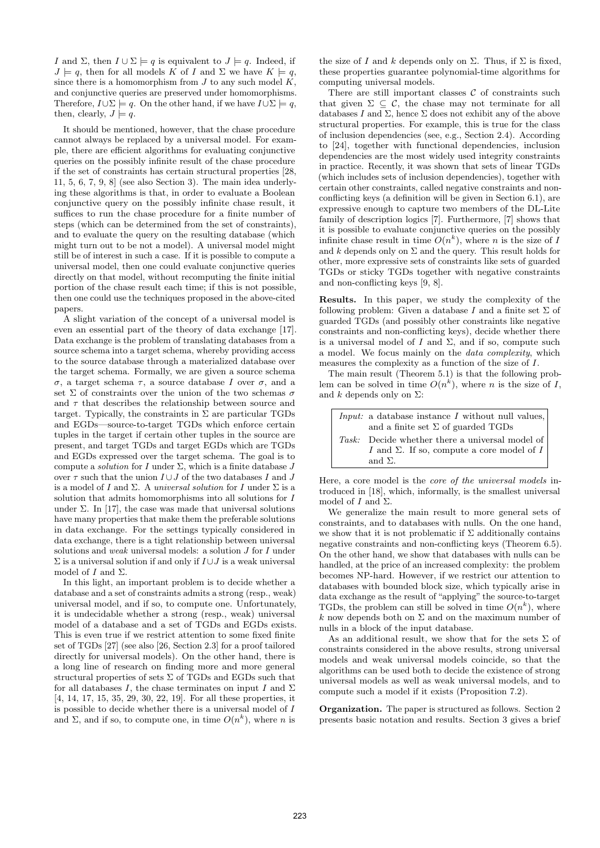I and  $\Sigma$ , then  $I \cup \Sigma \models q$  is equivalent to  $J \models q$ . Indeed, if  $J \models q$ , then for all models K of I and  $\Sigma$  we have  $K \models q$ , since there is a homomorphism from  $J$  to any such model  $K$ , and conjunctive queries are preserved under homomorphisms. Therefore,  $I \cup \Sigma \models q$ . On the other hand, if we have  $I \cup \Sigma \models q$ , then, clearly,  $J \models q$ .

It should be mentioned, however, that the chase procedure cannot always be replaced by a universal model. For example, there are efficient algorithms for evaluating conjunctive queries on the possibly infinite result of the chase procedure if the set of constraints has certain structural properties [28, 11, 5, 6, 7, 9, 8] (see also Section 3). The main idea underlying these algorithms is that, in order to evaluate a Boolean conjunctive query on the possibly infinite chase result, it suffices to run the chase procedure for a finite number of steps (which can be determined from the set of constraints), and to evaluate the query on the resulting database (which might turn out to be not a model). A universal model might still be of interest in such a case. If it is possible to compute a universal model, then one could evaluate conjunctive queries directly on that model, without recomputing the finite initial portion of the chase result each time; if this is not possible, then one could use the techniques proposed in the above-cited papers.

A slight variation of the concept of a universal model is even an essential part of the theory of data exchange [17]. Data exchange is the problem of translating databases from a source schema into a target schema, whereby providing access to the source database through a materialized database over the target schema. Formally, we are given a source schema σ, a target schema τ, a source database I over σ, and a set  $\Sigma$  of constraints over the union of the two schemas  $\sigma$ and  $\tau$  that describes the relationship between source and target. Typically, the constraints in  $\Sigma$  are particular TGDs and EGDs—source-to-target TGDs which enforce certain tuples in the target if certain other tuples in the source are present, and target TGDs and target EGDs which are TGDs and EGDs expressed over the target schema. The goal is to compute a *solution* for I under  $\Sigma$ , which is a finite database J over  $\tau$  such that the union  $I \cup J$  of the two databases I and J is a model of I and  $\Sigma$ . A universal solution for I under  $\Sigma$  is a solution that admits homomorphisms into all solutions for I under  $\Sigma$ . In [17], the case was made that universal solutions have many properties that make them the preferable solutions in data exchange. For the settings typically considered in data exchange, there is a tight relationship between universal solutions and *weak* universal models: a solution  $J$  for  $I$  under  $\Sigma$  is a universal solution if and only if  $I\cup J$  is a weak universal model of I and  $\Sigma$ .

In this light, an important problem is to decide whether a database and a set of constraints admits a strong (resp., weak) universal model, and if so, to compute one. Unfortunately, it is undecidable whether a strong (resp., weak) universal model of a database and a set of TGDs and EGDs exists. This is even true if we restrict attention to some fixed finite set of TGDs [27] (see also [26, Section 2.3] for a proof tailored directly for universal models). On the other hand, there is a long line of research on finding more and more general structural properties of sets  $\Sigma$  of TGDs and EGDs such that for all databases I, the chase terminates on input I and  $\Sigma$ [4, 14, 17, 15, 35, 29, 30, 22, 19]. For all these properties, it is possible to decide whether there is a universal model of I and  $\Sigma$ , and if so, to compute one, in time  $O(n^k)$ , where n is

the size of I and k depends only on  $\Sigma$ . Thus, if  $\Sigma$  is fixed, these properties guarantee polynomial-time algorithms for computing universal models.

There are still important classes  $C$  of constraints such that given  $\Sigma \subseteq \mathcal{C}$ , the chase may not terminate for all databases I and  $\Sigma$ , hence  $\Sigma$  does not exhibit any of the above structural properties. For example, this is true for the class of inclusion dependencies (see, e.g., Section 2.4). According to [24], together with functional dependencies, inclusion dependencies are the most widely used integrity constraints in practice. Recently, it was shown that sets of linear TGDs (which includes sets of inclusion dependencies), together with certain other constraints, called negative constraints and nonconflicting keys (a definition will be given in Section 6.1), are expressive enough to capture two members of the DL-Lite family of description logics [7]. Furthermore, [7] shows that it is possible to evaluate conjunctive queries on the possibly infinite chase result in time  $O(n^k)$ , where *n* is the size of *l* and k depends only on  $\Sigma$  and the query. This result holds for other, more expressive sets of constraints like sets of guarded TGDs or sticky TGDs together with negative constraints and non-conflicting keys [9, 8].

Results. In this paper, we study the complexity of the following problem: Given a database I and a finite set  $\Sigma$  of guarded TGDs (and possibly other constraints like negative constraints and non-conflicting keys), decide whether there is a universal model of I and  $\Sigma$ , and if so, compute such a model. We focus mainly on the data complexity, which measures the complexity as a function of the size of I.

The main result (Theorem 5.1) is that the following problem can be solved in time  $O(n^k)$ , where *n* is the size of *I*, and k depends only on  $\Sigma$ :

| <i>Input:</i> a database instance $I$ without null values,<br>and a finite set $\Sigma$ of guarded TGDs |
|---------------------------------------------------------------------------------------------------------|
| Task: Decide whether there a universal model of                                                         |
| I and $\Sigma$ . If so, compute a core model of I                                                       |
| and $\Sigma$ .                                                                                          |

Here, a core model is the core of the universal models introduced in [18], which, informally, is the smallest universal model of  $I$  and  $\Sigma$ .

We generalize the main result to more general sets of constraints, and to databases with nulls. On the one hand, we show that it is not problematic if  $\Sigma$  additionally contains negative constraints and non-conflicting keys (Theorem 6.5). On the other hand, we show that databases with nulls can be handled, at the price of an increased complexity: the problem becomes NP-hard. However, if we restrict our attention to databases with bounded block size, which typically arise in data exchange as the result of "applying" the source-to-target TGDs, the problem can still be solved in time  $O(n^k)$ , where k now depends both on  $\Sigma$  and on the maximum number of nulls in a block of the input database.

As an additional result, we show that for the sets  $\Sigma$  of constraints considered in the above results, strong universal models and weak universal models coincide, so that the algorithms can be used both to decide the existence of strong universal models as well as weak universal models, and to compute such a model if it exists (Proposition 7.2).

Organization. The paper is structured as follows. Section 2 presents basic notation and results. Section 3 gives a brief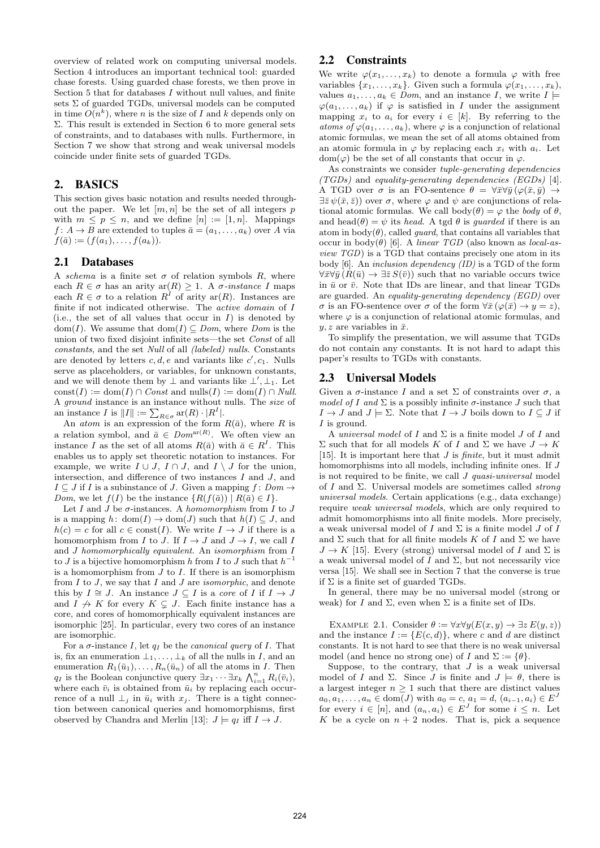overview of related work on computing universal models. Section 4 introduces an important technical tool: guarded chase forests. Using guarded chase forests, we then prove in Section 5 that for databases  $I$  without null values, and finite sets  $\Sigma$  of guarded TGDs, universal models can be computed in time  $O(n^k)$ , where n is the size of I and k depends only on Σ. This result is extended in Section 6 to more general sets of constraints, and to databases with nulls. Furthermore, in Section 7 we show that strong and weak universal models coincide under finite sets of guarded TGDs.

# 2. BASICS

This section gives basic notation and results needed throughout the paper. We let  $[m, n]$  be the set of all integers p with  $m \leq p \leq n$ , and we define  $[n] := [1, n]$ . Mappings  $f: A \to B$  are extended to tuples  $\bar{a} = (a_1, \ldots, a_k)$  over A via  $f(\bar{a}) := (f(a_1), \ldots, f(a_k)).$ 

#### 2.1 Databases

A schema is a finite set  $\sigma$  of relation symbols R, where each  $R \in \sigma$  has an arity ar $(R) \geq 1$ . A  $\sigma$ -instance I maps each  $R \in \sigma$  to a relation  $R<sup>I</sup>$  of arity ar(R). Instances are finite if not indicated otherwise. The active domain of I (i.e., the set of all values that occur in  $I$ ) is denoted by dom(I). We assume that dom(I)  $\subseteq$  Dom, where Dom is the union of two fixed disjoint infinite sets—the set Const of all constants, and the set Null of all (labeled) nulls. Constants are denoted by letters  $c, d, e$  and variants like  $c', c_1$ . Nulls serve as placeholders, or variables, for unknown constants, and we will denote them by  $\perp$  and variants like  $\perp', \perp_1$ . Let  $const(I) := dom(I) \cap Const$  and  $nulls(I) := dom(I) \cap Null$ . A ground instance is an instance without nulls. The size of an instance I is  $||I|| := \sum_{R \in \sigma} \operatorname{ar}(R) \cdot |R^I|.$ 

An *atom* is an expression of the form  $R(\bar{a})$ , where R is a relation symbol, and  $\bar{a} \in Dom^{\text{ar}(R)}$ . We often view an instance I as the set of all atoms  $R(\bar{a})$  with  $\bar{a} \in R^{I}$ . This enables us to apply set theoretic notation to instances. For example, we write  $I \cup J$ ,  $I \cap J$ , and  $I \setminus J$  for the union, intersection, and difference of two instances  $I$  and  $J$ , and  $I \subseteq J$  if I is a subinstance of J. Given a mapping  $f: Dom \rightarrow$ Dom, we let  $f(I)$  be the instance  $\{R(f(\bar{a})) | R(\bar{a}) \in I\}.$ 

Let I and J be  $\sigma$ -instances. A homomorphism from I to J is a mapping  $h: dom(I) \to dom(J)$  such that  $h(I) \subseteq J$ , and  $h(c) = c$  for all  $c \in \text{const}(I)$ . We write  $I \to J$  if there is a homomorphism from I to J. If  $I \to J$  and  $J \to I$ , we call I and J homomorphically equivalent. An isomorphism from I to J is a bijective homomorphism h from I to J such that  $h^{-1}$ is a homomorphism from  $J$  to  $I$ . If there is an isomorphism from  $I$  to  $J$ , we say that  $I$  and  $J$  are *isomorphic*, and denote this by  $I \cong J$ . An instance  $J \subset I$  is a core of I if  $I \to J$ and  $I \nightharpoonup K$  for every  $K \subsetneq J$ . Each finite instance has a core, and cores of homomorphically equivalent instances are isomorphic [25]. In particular, every two cores of an instance are isomorphic.

For a  $\sigma$ -instance I, let  $q_I$  be the *canonical query* of I. That is, fix an enumeration  $\bot_1, \ldots, \bot_k$  of all the nulls in I, and an enumeration  $R_1(\bar{u}_1), \ldots, R_n(\bar{u}_n)$  of all the atoms in I. Then  $q_I$  is the Boolean conjunctive query  $\exists x_1 \cdots \exists x_k \bigwedge_{i=1}^n R_i(\bar{v}_i)$ , where each  $\bar{v}_i$  is obtained from  $\bar{u}_i$  by replacing each occurrence of a null  $\perp_j$  in  $\bar{u}_i$  with  $x_j$ . There is a tight connection between canonical queries and homomorphisms, first observed by Chandra and Merlin [13]:  $J \models q_I$  iff  $I \rightarrow J$ .

## 2.2 Constraints

We write  $\varphi(x_1, \ldots, x_k)$  to denote a formula  $\varphi$  with free variables  $\{x_1, \ldots, x_k\}$ . Given such a formula  $\varphi(x_1, \ldots, x_k)$ , values  $a_1, \ldots, a_k \in Dom$ , and an instance I, we write  $I \models$  $\varphi(a_1, \ldots, a_k)$  if  $\varphi$  is satisfied in I under the assignment mapping  $x_i$  to  $a_i$  for every  $i \in [k]$ . By referring to the atoms of  $\varphi(a_1, \ldots, a_k)$ , where  $\varphi$  is a conjunction of relational atomic formulas, we mean the set of all atoms obtained from an atomic formula in  $\varphi$  by replacing each  $x_i$  with  $a_i$ . Let  $dom(\varphi)$  be the set of all constants that occur in  $\varphi$ .

As constraints we consider tuple-generating dependencies  $(TGDs)$  and equality-generating dependencies  $(EGDs)$  [4]. A TGD over  $\sigma$  is an FO-sentence  $\theta = \forall \bar{x} \forall \bar{y} (\varphi(\bar{x}, \bar{y}) \rightarrow$  $\exists \bar{z} \psi(\bar{x}, \bar{z})$  over  $\sigma$ , where  $\varphi$  and  $\psi$  are conjunctions of relational atomic formulas. We call body $(\theta) = \varphi$  the *body* of  $\theta$ , and head( $\theta$ ) =  $\psi$  its head. A tgd  $\theta$  is *guarded* if there is an atom in body $(\theta)$ , called *guard*, that contains all variables that occur in body( $\theta$ ) [6]. A *linear TGD* (also known as *local-asview*  $TGD$ ) is a TGD that contains precisely one atom in its body [6]. An *inclusion dependency* ( $ID$ ) is a TGD of the form  $\forall \bar{x} \forall \bar{y} (R(\bar{u}) \rightarrow \exists \bar{z} S(\bar{v}))$  such that no variable occurs twice in  $\bar{u}$  or  $\bar{v}$ . Note that IDs are linear, and that linear TGDs are guarded. An equality-generating dependency (EGD) over  $\sigma$  is an FO-sentence over  $\sigma$  of the form  $\forall \bar{x}$  ( $\varphi(\bar{x}) \rightarrow y = z$ ). where  $\varphi$  is a conjunction of relational atomic formulas, and  $y, z$  are variables in  $\bar{x}$ .

To simplify the presentation, we will assume that TGDs do not contain any constants. It is not hard to adapt this paper's results to TGDs with constants.

### 2.3 Universal Models

Given a  $\sigma$ -instance I and a set  $\Sigma$  of constraints over  $\sigma$ , a model of I and  $\Sigma$  is a possibly infinite  $\sigma$ -instance J such that  $I \to J$  and  $J \models \Sigma$ . Note that  $I \to J$  boils down to  $I \subseteq J$  if I is ground.

A universal model of  $I$  and  $\Sigma$  is a finite model  $J$  of  $I$  and  $\Sigma$  such that for all models  $K$  of  $I$  and  $\Sigma$  we have  $J\to K$ [15]. It is important here that J is finite, but it must admit homomorphisms into all models, including infinite ones. If J is not required to be finite, we call J quasi-universal model of I and  $\Sigma$ . Universal models are sometimes called *strong* universal models. Certain applications (e.g., data exchange) require weak universal models, which are only required to admit homomorphisms into all finite models. More precisely, a weak universal model of I and  $\Sigma$  is a finite model J of I and  $\Sigma$  such that for all finite models K of I and  $\Sigma$  we have  $J \to K$  [15]. Every (strong) universal model of I and  $\Sigma$  is a weak universal model of I and Σ, but not necessarily vice versa [15]. We shall see in Section 7 that the converse is true if  $\Sigma$  is a finite set of guarded TGDs.

In general, there may be no universal model (strong or weak) for I and  $\Sigma$ , even when  $\Sigma$  is a finite set of IDs.

EXAMPLE 2.1. Consider  $\theta := \forall x \forall y (E(x, y) \rightarrow \exists z E(y, z))$ and the instance  $I := \{E(c, d)\}\text{, where } c \text{ and } d \text{ are distinct.}$ constants. It is not hard to see that there is no weak universal model (and hence no strong one) of I and  $\Sigma := \{\theta\}.$ 

Suppose, to the contrary, that  $J$  is a weak universal model of I and  $\Sigma$ . Since J is finite and  $J \models \theta$ , there is a largest integer  $n \geq 1$  such that there are distinct values  $a_0, a_1, \ldots, a_n \in \text{dom}(J)$  with  $a_0 = c, a_1 = d, (a_{i-1}, a_i) \in E^J$ for every  $i \in [n]$ , and  $(a_n, a_i) \in E^J$  for some  $i \leq n$ . Let K be a cycle on  $n + 2$  nodes. That is, pick a sequence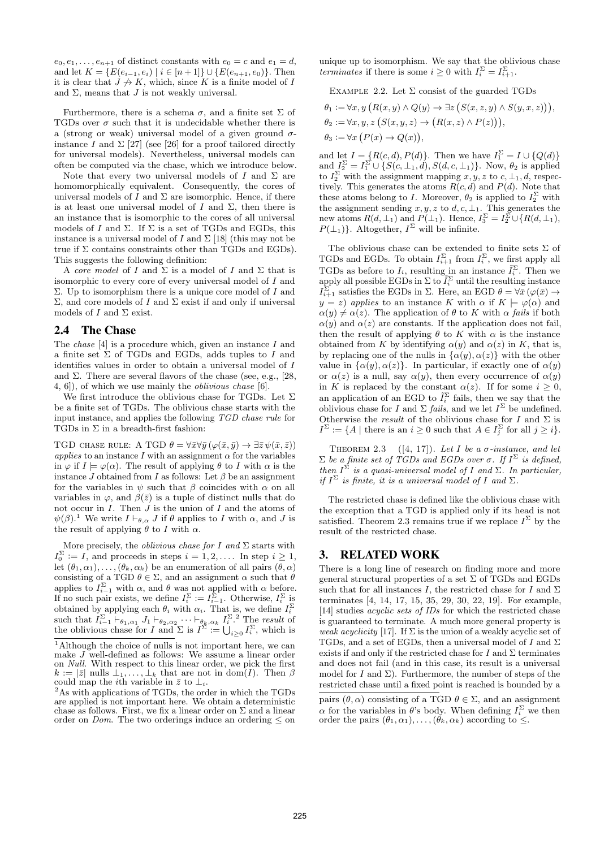$e_0, e_1, \ldots, e_{n+1}$  of distinct constants with  $e_0 = c$  and  $e_1 = d$ , and let  $K = \{E(e_{i-1}, e_i) \mid i \in [n+1]\} \cup \{E(e_{n+1}, e_0)\}.$  Then it is clear that  $J \nightharpoonup K$ , which, since K is a finite model of I and  $\Sigma$ , means that  $J$  is not weakly universal.

Furthermore, there is a schema  $\sigma$ , and a finite set  $\Sigma$  of TGDs over  $\sigma$  such that it is undecidable whether there is a (strong or weak) universal model of a given ground  $\sigma$ instance I and  $\Sigma$  [27] (see [26] for a proof tailored directly for universal models). Nevertheless, universal models can often be computed via the chase, which we introduce below.

Note that every two universal models of I and  $\Sigma$  are homomorphically equivalent. Consequently, the cores of universal models of I and  $\Sigma$  are isomorphic. Hence, if there is at least one universal model of  $I$  and  $\Sigma$ , then there is an instance that is isomorphic to the cores of all universal models of I and  $\Sigma$ . If  $\Sigma$  is a set of TGDs and EGDs, this instance is a universal model of I and  $\Sigma$  [18] (this may not be true if  $\Sigma$  contains constraints other than TGDs and EGDs). This suggests the following definition:

A core model of I and  $\Sigma$  is a model of I and  $\Sigma$  that is isomorphic to every core of every universal model of I and Σ. Up to isomorphism there is a unique core model of I and Σ, and core models of I and Σ exist if and only if universal models of  $I$  and  $\Sigma$  exist.

#### 2.4 The Chase

The *chase*  $[4]$  is a procedure which, given an instance I and a finite set  $\Sigma$  of TGDs and EGDs, adds tuples to I and identifies values in order to obtain a universal model of I and  $\Sigma$ . There are several flavors of the chase (see, e.g., [28, 4, 6]), of which we use mainly the oblivious chase [6].

We first introduce the oblivious chase for TGDs. Let  $\Sigma$ be a finite set of TGDs. The oblivious chase starts with the input instance, and applies the following TGD chase rule for TGDs in  $\Sigma$  in a breadth-first fashion:

TGD CHASE RULE: A TGD  $\theta = \forall \bar{x} \forall \bar{y} (\varphi(\bar{x}, \bar{y}) \rightarrow \exists \bar{z} \psi(\bar{x}, \bar{z}))$ applies to an instance I with an assignment  $\alpha$  for the variables in  $\varphi$  if  $I \models \varphi(\alpha)$ . The result of applying  $\theta$  to I with  $\alpha$  is the instance J obtained from I as follows: Let  $\beta$  be an assignment for the variables in  $\psi$  such that  $\beta$  coincides with  $\alpha$  on all variables in  $\varphi$ , and  $\beta(\bar{z})$  is a tuple of distinct nulls that do not occur in  $I$ . Then  $J$  is the union of  $I$  and the atoms of  $\psi(\beta)$ .<sup>1</sup> We write  $I \vdash_{\theta,\alpha} J$  if  $\theta$  applies to I with  $\alpha$ , and J is the result of applying  $\theta$  to I with  $\alpha$ .

More precisely, the *oblivious chase for I and*  $\Sigma$  starts with  $I_0^{\Sigma} := I$ , and proceeds in steps  $i = 1, 2, \dots$  In step  $i \geq 1$ , let  $(\theta_1, \alpha_1), \ldots, (\theta_k, \alpha_k)$  be an enumeration of all pairs  $(\theta, \alpha)$ consisting of a TGD  $\theta \in \Sigma,$  and an assignment  $\alpha$  such that  $\theta$ applies to  $I_{i-1}^{\Sigma}$  with  $\alpha$ , and  $\theta$  was not applied with  $\alpha$  before.<br>If no such pair exists, we define  $I_i^{\Sigma} := I_{i-1}^{\Sigma}$ . Otherwise,  $I_i^{\Sigma}$  is obtained by applying each  $\theta_i$  with  $\alpha_i$ . That is, we define  $I_i^{\Sigma}$ <br>such that  $I_{i-1}^{\Sigma} \vdash_{\theta_1,\alpha_1} J_1 \vdash_{\theta_2,\alpha_2} \cdots \vdash_{\theta_k,\alpha_k} I_i^{\Sigma}$ ? The result of the oblivious chase for I and  $\Sigma$  is  $I^{\Sigma'} := \bigcup_{i \geq 0} I_i^{\Sigma}$ , which is

unique up to isomorphism. We say that the oblivious chase terminates if there is some  $i \geq 0$  with  $I_i^{\Sigma} = I_{i+1}^{\Sigma}$ .

EXAMPLE 2.2. Let  $\Sigma$  consist of the guarded TGDs

$$
\theta_1 := \forall x, y \ (R(x, y) \land Q(y) \rightarrow \exists z \ (S(x, z, y) \land S(y, x, z))),
$$
  
\n
$$
\theta_2 := \forall x, y, z \ (S(x, y, z) \rightarrow (R(x, z) \land P(z))),
$$
  
\n
$$
\theta_3 := \forall x \ (P(x) \rightarrow Q(x)),
$$

and let  $I = \{R(c, d), P(d)\}\$ . Then we have  $I_1^{\Sigma} = I \cup \{Q(d)\}\$ and  $I_2^{\Sigma} = I_1^{\Sigma} \cup \{S(c, \perp_1, d), S(d, c, \perp_1)\}\$ . Now,  $\theta_2$  is applied to  $I_2^{\Sigma}$  with the assignment mapping  $x, y, z$  to  $c, \perp_1, d$ , respectively. This generates the atoms  $R(c, d)$  and  $P(d)$ . Note that these atoms belong to I. Moreover,  $\theta_2$  is applied to  $I_2^{\Sigma}$  with the assignment sending  $x, y, z$  to  $d, c, \perp_1$ . This generates the new atoms  $R(d, \perp_1)$  and  $P(\perp_1)$ . Hence,  $I_3^{\Sigma} = I_2^{\Sigma} \cup \{R(d, \perp_1),\}$  $P(\perp_1)$ . Altogether,  $I^{\Sigma}$  will be infinite.

The oblivious chase can be extended to finite sets  $\Sigma$  of TGDs and EGDs. To obtain  $I_{i+1}^{\Sigma}$  from  $I_i^{\Sigma}$ , we first apply all TGDs as before to  $I_i$ , resulting in an instance  $\tilde{I}_i^{\Sigma}$ . Then we apply all possible EGDs in  $\Sigma$  to  $\tilde{I}_i^{\Sigma}$  until the resulting instance  $I_{i+1}^{\Sigma}$  satisfies the EGDs in  $\Sigma$ . Here, an EGD  $\theta = \forall \bar{x} (\varphi(\bar{x}) \rightarrow$  $y = z$ ) applies to an instance K with  $\alpha$  if  $K \models \varphi(\alpha)$  and  $\alpha(y) \neq \alpha(z)$ . The application of  $\theta$  to K with  $\alpha$  fails if both  $\alpha(y)$  and  $\alpha(z)$  are constants. If the application does not fail, then the result of applying  $\theta$  to K with  $\alpha$  is the instance obtained from K by identifying  $\alpha(y)$  and  $\alpha(z)$  in K, that is, by replacing one of the nulls in  $\{\alpha(y), \alpha(z)\}\$  with the other value in  $\{\alpha(y), \alpha(z)\}\$ . In particular, if exactly one of  $\alpha(y)$ or  $\alpha(z)$  is a null, say  $\alpha(y)$ , then every occurrence of  $\alpha(y)$ in K is replaced by the constant  $\alpha(z)$ . If for some  $i \geq 0$ , an application of an EGD to  $\tilde{I}_i^{\Sigma}$  fails, then we say that the oblivious chase for I and  $\Sigma$  fails, and we let  $I^{\Sigma}$  be undefined. Otherwise the *result* of the oblivious chase for I and  $\Sigma$  is  $I^{\Sigma} := \{ A \mid \text{there is an } i \geq 0 \text{ such that } A \in I_j^{\Sigma} \text{ for all } j \geq i \}.$ 

THEOREM 2.3 ([4, 17]). Let I be a  $\sigma$ -instance, and let  $\Sigma$  be a finite set of TGDs and EGDs over  $\sigma$ . If  $I^{\Sigma}$  is defined, then  $I^{\Sigma}$  is a quasi-universal model of I and  $\Sigma$ . In particular, if  $I^{\Sigma}$  is finite, it is a universal model of I and  $\Sigma$ .

The restricted chase is defined like the oblivious chase with the exception that a TGD is applied only if its head is not satisfied. Theorem 2.3 remains true if we replace  $I^{\Sigma}$  by the result of the restricted chase.

### 3. RELATED WORK

There is a long line of research on finding more and more general structural properties of a set  $\Sigma$  of TGDs and EGDs such that for all instances I, the restricted chase for I and  $\Sigma$ terminates [4, 14, 17, 15, 35, 29, 30, 22, 19]. For example, [14] studies *acyclic sets of IDs* for which the restricted chase is guaranteed to terminate. A much more general property is weak acyclicity [17]. If  $\Sigma$  is the union of a weakly acyclic set of TGDs, and a set of EGDs, then a universal model of I and  $\Sigma$ exists if and only if the restricted chase for I and  $\Sigma$  terminates and does not fail (and in this case, its result is a universal model for I and  $\Sigma$ ). Furthermore, the number of steps of the restricted chase until a fixed point is reached is bounded by a

<sup>1</sup>Although the choice of nulls is not important here, we can make J well-defined as follows: We assume a linear order on Null. With respect to this linear order, we pick the first  $k := |\bar{z}|$  nulls  $\bot_1, \ldots, \bot_k$  that are not in dom(I). Then  $\beta$ could map the *i*<sup>th</sup> variable in  $\bar{z}$  to  $\perp_i$ .

<sup>2</sup>As with applications of TGDs, the order in which the TGDs are applied is not important here. We obtain a deterministic chase as follows. First, we fix a linear order on  $\Sigma$  and a linear order on *Dom*. The two orderings induce an ordering  $\leq$  on

pairs  $(\theta, \alpha)$  consisting of a TGD  $\theta \in \Sigma$ , and an assignment  $\alpha$  for the variables in  $\theta$ 's body. When defining  $I_i^{\Sigma}$  we then order the pairs  $(\theta_1, \alpha_1), \ldots, (\theta_k, \alpha_k)$  according to  $\leq$ .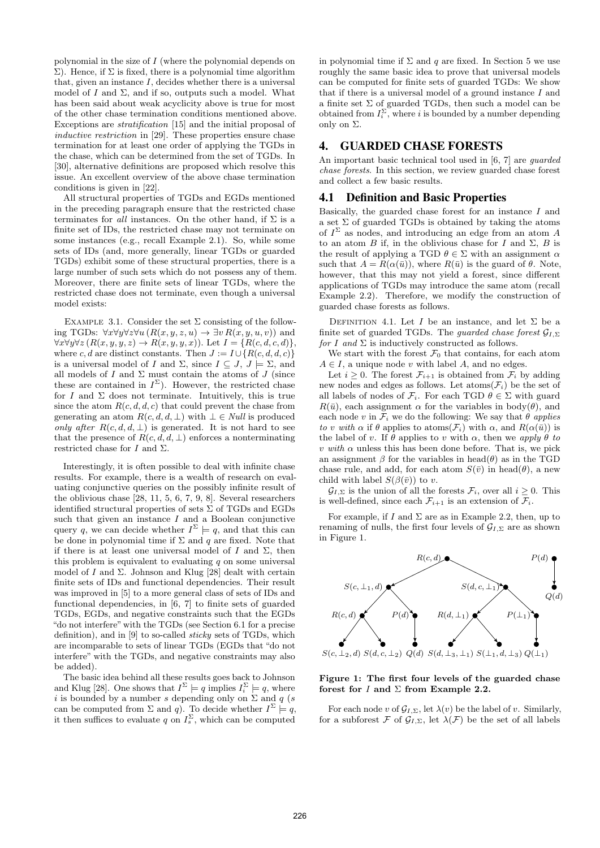polynomial in the size of I (where the polynomial depends on Σ). Hence, if Σ is fixed, there is a polynomial time algorithm that, given an instance  $I$ , decides whether there is a universal model of I and  $\Sigma$ , and if so, outputs such a model. What has been said about weak acyclicity above is true for most of the other chase termination conditions mentioned above. Exceptions are stratification [15] and the initial proposal of inductive restriction in [29]. These properties ensure chase termination for at least one order of applying the TGDs in the chase, which can be determined from the set of TGDs. In [30], alternative definitions are proposed which resolve this issue. An excellent overview of the above chase termination conditions is given in [22].

All structural properties of TGDs and EGDs mentioned in the preceding paragraph ensure that the restricted chase terminates for *all* instances. On the other hand, if  $\Sigma$  is a finite set of IDs, the restricted chase may not terminate on some instances (e.g., recall Example 2.1). So, while some sets of IDs (and, more generally, linear TGDs or guarded TGDs) exhibit some of these structural properties, there is a large number of such sets which do not possess any of them. Moreover, there are finite sets of linear TGDs, where the restricted chase does not terminate, even though a universal model exists:

EXAMPLE 3.1. Consider the set  $\Sigma$  consisting of the following TGDs:  $\forall x \forall y \forall z \forall u (R(x, y, z, u) \rightarrow \exists v R(x, y, u, v))$  and  $\forall x \forall y \forall z (R(x, y, y, z) \rightarrow R(x, y, y, x))$ . Let  $I = \{R(c, d, c, d)\},$ where c, d are distinct constants. Then  $J := I \cup \{R(c, d, d, c)\}\$ is a universal model of I and  $\Sigma$ , since  $I \subseteq J$ ,  $J \models \Sigma$ , and all models of I and  $\Sigma$  must contain the atoms of J (since these are contained in  $I^{\Sigma}$ ). However, the restricted chase for I and  $\Sigma$  does not terminate. Intuitively, this is true since the atom  $R(c, d, d, c)$  that could prevent the chase from generating an atom  $R(c, d, d, \perp)$  with  $\perp \in Null$  is produced only after  $R(c, d, d, \perp)$  is generated. It is not hard to see that the presence of  $R(c, d, d, \perp)$  enforces a nonterminating restricted chase for  $I$  and  $\Sigma$ .

Interestingly, it is often possible to deal with infinite chase results. For example, there is a wealth of research on evaluating conjunctive queries on the possibly infinite result of the oblivious chase [28, 11, 5, 6, 7, 9, 8]. Several researchers identified structural properties of sets  $\Sigma$  of TGDs and EGDs such that given an instance  $I$  and a Boolean conjunctive query q, we can decide whether  $I^{\Sigma} \models q$ , and that this can be done in polynomial time if  $\Sigma$  and q are fixed. Note that if there is at least one universal model of I and  $\Sigma$ , then this problem is equivalent to evaluating  $q$  on some universal model of I and  $\Sigma$ . Johnson and Klug [28] dealt with certain finite sets of IDs and functional dependencies. Their result was improved in [5] to a more general class of sets of IDs and functional dependencies, in [6, 7] to finite sets of guarded TGDs, EGDs, and negative constraints such that the EGDs "do not interfere" with the TGDs (see Section 6.1 for a precise definition), and in [9] to so-called sticky sets of TGDs, which are incomparable to sets of linear TGDs (EGDs that "do not interfere" with the TGDs, and negative constraints may also be added).

The basic idea behind all these results goes back to Johnson and Klug [28]. One shows that  $I^{\Sigma} \models q$  implies  $I_i^{\Sigma} \models q$ , where i is bounded by a number s depending only on  $\Sigma$  and q (s can be computed from  $\Sigma$  and q). To decide whether  $I^{\Sigma} \models q$ , it then suffices to evaluate q on  $I_s^{\Sigma}$ , which can be computed

in polynomial time if  $\Sigma$  and q are fixed. In Section 5 we use roughly the same basic idea to prove that universal models can be computed for finite sets of guarded TGDs: We show that if there is a universal model of a ground instance  $I$  and a finite set  $\Sigma$  of guarded TGDs, then such a model can be obtained from  $I_i^{\Sigma}$ , where *i* is bounded by a number depending only on Σ.

## 4. GUARDED CHASE FORESTS

An important basic technical tool used in [6, 7] are guarded chase forests. In this section, we review guarded chase forest and collect a few basic results.

### 4.1 Definition and Basic Properties

Basically, the guarded chase forest for an instance  $I$  and a set  $\Sigma$  of guarded TGDs is obtained by taking the atoms of  $I^{\Sigma}$  as nodes, and introducing an edge from an atom A to an atom B if, in the oblivious chase for I and  $\Sigma$ , B is the result of applying a TGD  $\theta \in \Sigma$  with an assignment  $\alpha$ such that  $A = R(\alpha(\bar{u}))$ , where  $R(\bar{u})$  is the guard of  $\theta$ . Note, however, that this may not yield a forest, since different applications of TGDs may introduce the same atom (recall Example 2.2). Therefore, we modify the construction of guarded chase forests as follows.

DEFINITION 4.1. Let I be an instance, and let  $\Sigma$  be a finite set of guarded TGDs. The *quarded chase forest*  $\mathcal{G}_{I,\Sigma}$ for I and  $\Sigma$  is inductively constructed as follows.

We start with the forest  $\mathcal{F}_0$  that contains, for each atom  $A \in I$ , a unique node v with label A, and no edges.

Let  $i \geq 0$ . The forest  $\mathcal{F}_{i+1}$  is obtained from  $\mathcal{F}_i$  by adding new nodes and edges as follows. Let  $\text{atoms}(\mathcal{F}_i)$  be the set of all labels of nodes of  $\mathcal{F}_i$ . For each TGD  $\theta \in \Sigma$  with guard  $R(\bar{u})$ , each assignment  $\alpha$  for the variables in body( $\theta$ ), and each node v in  $\mathcal{F}_i$  we do the following: We say that  $\theta$  applies to v with  $\alpha$  if  $\theta$  applies to atoms  $(\mathcal{F}_i)$  with  $\alpha$ , and  $R(\alpha(\bar{u}))$  is the label of v. If  $\theta$  applies to v with  $\alpha$ , then we apply  $\theta$  to v with  $\alpha$  unless this has been done before. That is, we pick an assignment  $\beta$  for the variables in head( $\theta$ ) as in the TGD chase rule, and add, for each atom  $S(\bar{v})$  in head( $\theta$ ), a new child with label  $S(\beta(\bar{v}))$  to v.

 $\mathcal{G}_{I,\Sigma}$  is the union of all the forests  $\mathcal{F}_i$ , over all  $i \geq 0$ . This is well-defined, since each  $\mathcal{F}_{i+1}$  is an extension of  $\mathcal{F}_{i}$ .

For example, if I and  $\Sigma$  are as in Example 2.2, then, up to renaming of nulls, the first four levels of  $\mathcal{G}_{I,\Sigma}$  are as shown in Figure 1.



Figure 1: The first four levels of the guarded chase forest for  $I$  and  $\Sigma$  from Example 2.2.

For each node v of  $\mathcal{G}_{I,\Sigma}$ , let  $\lambda(v)$  be the label of v. Similarly, for a subforest F of  $\mathcal{G}_{I,\Sigma}$ , let  $\lambda(\mathcal{F})$  be the set of all labels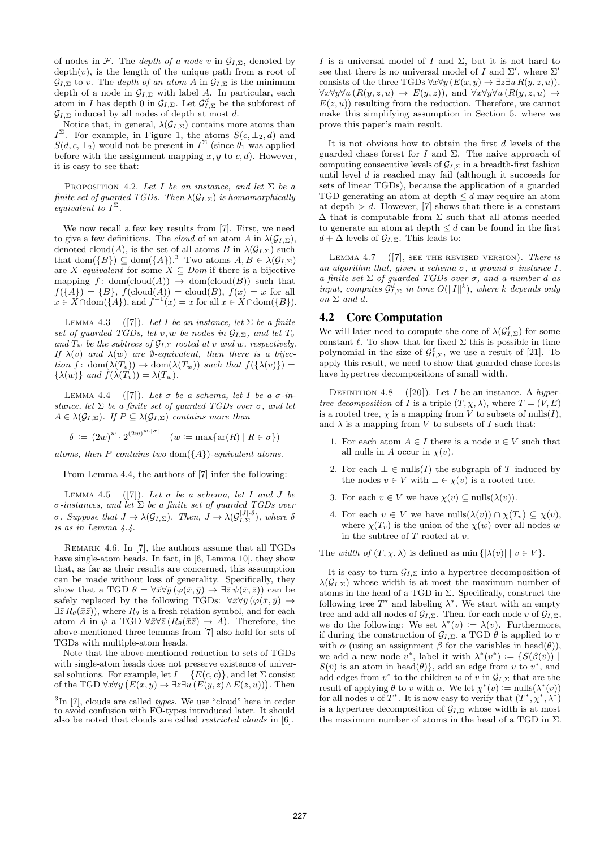of nodes in F. The depth of a node v in  $\mathcal{G}_{I,\Sigma}$ , denoted by  $depth(v)$ , is the length of the unique path from a root of  $\mathcal{G}_{I,\Sigma}$  to v. The depth of an atom A in  $\mathcal{G}_{I,\Sigma}$  is the minimum depth of a node in  $\mathcal{G}_{I,\Sigma}$  with label A. In particular, each atom in I has depth 0 in  $\mathcal{G}_{I,\Sigma}$ . Let  $\mathcal{G}_{I,\Sigma}^d$  be the subforest of  $\mathcal{G}_{I,\Sigma}$  induced by all nodes of depth at most d.

Notice that, in general,  $\lambda(\mathcal{G}_{I,\Sigma})$  contains more atoms than  $I^{\Sigma}$ . For example, in Figure 1, the atoms  $S(c, \perp_2, d)$  and  $S(d, c, \perp_2)$  would not be present in  $I^{\Sigma}$  (since  $\theta_1$  was applied before with the assignment mapping  $x, y$  to  $c, d$ ). However, it is easy to see that:

PROPOSITION 4.2. Let I be an instance, and let  $\Sigma$  be a finite set of guarded TGDs. Then  $\lambda(\mathcal{G}_{I,\Sigma})$  is homomorphically equivalent to  $I^{\Sigma}$ .

We now recall a few key results from [7]. First, we need to give a few definitions. The cloud of an atom A in  $\lambda(\mathcal{G}_{I,\Sigma})$ , denoted cloud(A), is the set of all atoms B in  $\lambda(\mathcal{G}_{I,\Sigma})$  such that dom $(\{B\}) \subseteq \text{dom}(\{A\})$ .<sup>3</sup> Two atoms  $A, B \in \lambda(\mathcal{G}_{I,\Sigma})$ are X-equivalent for some  $X \subseteq Dom$  if there is a bijective mapping  $f: dom(cloud(A)) \rightarrow dom(cloud(B))$  such that  $f(\overline{\{A\}}) = \{B\}, f(\text{cloud}(A)) = \text{cloud}(B), f(x) = x$  for all  $x \in X \cap \text{dom}(\{A\}),$  and  $f^{-1}(x) = x$  for all  $x \in X \cap \text{dom}(\{B\}).$ 

LEMMA 4.3 ([7]). Let I be an instance, let  $\Sigma$  be a finite set of guarded TGDs, let v, w be nodes in  $\mathcal{G}_{I,\Sigma}$ , and let  $T_v$ and  $T_w$  be the subtrees of  $\mathcal{G}_{I,\Sigma}$  rooted at v and w, respectively. If  $\lambda(v)$  and  $\lambda(w)$  are  $\emptyset$ -equivalent, then there is a bijection f: dom $(\lambda(T_v)) \to$  dom $(\lambda(T_w))$  such that  $f(\{\lambda(v)\}) =$  $\{\lambda(w)\}\$ and  $f(\lambda(T_v)) = \lambda(T_w)$ .

LEMMA 4.4 ([7]). Let  $\sigma$  be a schema, let I be a  $\sigma$ -instance, let  $\Sigma$  be a finite set of guarded TGDs over  $\sigma$ , and let  $A \in \lambda(\mathcal{G}_{I,\Sigma})$ . If  $P \subseteq \lambda(\mathcal{G}_{I,\Sigma})$  contains more than

$$
\delta := (2w)^w \cdot 2^{(2w)^{w \cdot |\sigma|}} \quad (w := \max\{\text{ar}(R) \mid R \in \sigma\})
$$

atoms, then P contains two dom $({A})$ -equivalent atoms.

From Lemma 4.4, the authors of [7] infer the following:

LEMMA 4.5 ([7]). Let  $\sigma$  be a schema, let I and J be  $\sigma$ -instances, and let  $\Sigma$  be a finite set of guarded TGDs over σ. Suppose that  $J \to \lambda(\mathcal{G}_{I,\Sigma})$ . Then,  $J \to \lambda(\mathcal{G}_{I,\Sigma}^{|J|-\delta})$ , where δ is as in Lemma 4.4.

Remark 4.6. In [7], the authors assume that all TGDs have single-atom heads. In fact, in [6, Lemma 10], they show that, as far as their results are concerned, this assumption can be made without loss of generality. Specifically, they show that a TGD  $\theta = \forall \bar{x} \forall \bar{y} (\varphi(\bar{x}, \bar{y}) \rightarrow \exists \bar{z} \psi(\bar{x}, \bar{z}))$  can be safely replaced by the following TGDs:  $\forall \bar{x} \forall \bar{y} (\varphi(\bar{x}, \bar{y}) \rightarrow$  $\exists \bar{z} R_{\theta}(\bar{x}\bar{z})$ , where  $R_{\theta}$  is a fresh relation symbol, and for each atom A in  $\psi$  a TGD  $\forall \bar{x} \forall \bar{z} (R_{\theta}(\bar{x}\bar{z}) \rightarrow A)$ . Therefore, the above-mentioned three lemmas from [7] also hold for sets of TGDs with multiple-atom heads.

Note that the above-mentioned reduction to sets of TGDs with single-atom heads does not preserve existence of universal solutions. For example, let  $I = \{E(c, c)\}\$ , and let  $\Sigma$  consist of the TGD  $\forall x \forall y (E(x, y) \rightarrow \exists z \exists u (E(y, z) \wedge E(z, u)))$ . Then

I is a universal model of I and  $\Sigma$ , but it is not hard to see that there is no universal model of I and  $\Sigma'$ , where  $\Sigma'$ consists of the three TGDs  $\forall x \forall y (E(x, y) \rightarrow \exists z \exists u R(y, z, u)),$  $\forall x \forall y \forall u (R(y, z, u) \rightarrow E(y, z))$ , and  $\forall x \forall y \forall u (R(y, z, u) \rightarrow$  $E(z, u)$  resulting from the reduction. Therefore, we cannot make this simplifying assumption in Section 5, where we prove this paper's main result.

It is not obvious how to obtain the first  $d$  levels of the guarded chase forest for I and  $\Sigma$ . The naive approach of computing consecutive levels of  $\mathcal{G}_{I,\Sigma}$  in a breadth-first fashion until level  $d$  is reached may fail (although it succeeds for sets of linear TGDs), because the application of a guarded TGD generating an atom at depth  $\leq d$  may require an atom at depth  $> d$ . However, [7] shows that there is a constant  $\Delta$  that is computable from  $\Sigma$  such that all atoms needed to generate an atom at depth  $\leq d$  can be found in the first  $d + \Delta$  levels of  $\mathcal{G}_{I,\Sigma}$ . This leads to:

LEMMA  $4.7$  ([7], SEE THE REVISED VERSION). There is an algorithm that, given a schema  $\sigma$ , a ground  $\sigma$ -instance I, a finite set  $\Sigma$  of guarded TGDs over  $\sigma$ , and a number d as input, computes  $\mathcal{G}^d_{I,\Sigma}$  in time  $O(||I||^k)$ , where k depends only on  $\Sigma$  and d.

#### 4.2 Core Computation

We will later need to compute the core of  $\lambda(\mathcal{G}_{I,\Sigma}^{\ell})$  for some constant  $\ell$ . To show that for fixed  $\Sigma$  this is possible in time polynomial in the size of  $\mathcal{G}_{I,\Sigma}^{\ell}$ , we use a result of [21]. To apply this result, we need to show that guarded chase forests have hypertree decompositions of small width.

DEFINITION 4.8 ([20]). Let I be an instance. A hypertree decomposition of I is a triple  $(T, \chi, \lambda)$ , where  $T = (V, E)$ is a rooted tree,  $\chi$  is a mapping from V to subsets of nulls $(I)$ , and  $\lambda$  is a mapping from V to subsets of I such that:

- 1. For each atom  $A \in I$  there is a node  $v \in V$  such that all nulls in A occur in  $\chi(v)$ .
- 2. For each  $\bot \in \text{nulls}(I)$  the subgraph of T induced by the nodes  $v \in V$  with  $\bot \in \chi(v)$  is a rooted tree.
- 3. For each  $v \in V$  we have  $\chi(v) \subseteq \text{nulls}(\lambda(v)).$
- 4. For each  $v \in V$  we have nulls $(\lambda(v)) \cap \chi(T_v) \subseteq \chi(v)$ , where  $\chi(T_v)$  is the union of the  $\chi(w)$  over all nodes w in the subtree of  $T$  rooted at  $v$ .

The *width of*  $(T, \chi, \lambda)$  is defined as min  $\{|\lambda(v)| \mid v \in V\}$ .

It is easy to turn  $\mathcal{G}_{I,\Sigma}$  into a hypertree decomposition of  $\lambda(\mathcal{G}_{I,\Sigma})$  whose width is at most the maximum number of atoms in the head of a TGD in  $\Sigma$ . Specifically, construct the following tree  $T^*$  and labeling  $\lambda^*$ . We start with an empty tree and add all nodes of  $\mathcal{G}_{I,\Sigma}$ . Then, for each node v of  $\mathcal{G}_{I,\Sigma}$ , we do the following: We set  $\lambda^*(v) := \lambda(v)$ . Furthermore, if during the construction of  $\mathcal{G}_{I,\Sigma}$ , a TGD  $\theta$  is applied to v with  $\alpha$  (using an assignment  $\beta$  for the variables in head( $\theta$ )), we add a new node  $v^*$ , label it with  $\lambda^*(v^*) := \{ S(\beta(\bar{v})) |$  $S(\bar{v})$  is an atom in head $(\theta)$ , add an edge from v to  $v^*$ , and add edges from  $v^*$  to the children w of v in  $\mathcal{G}_{I,\Sigma}$  that are the result of applying  $\theta$  to v with  $\alpha$ . We let  $\chi^*(v) := \text{nulls}(\lambda^*(v))$ for all nodes v of  $T^*$ . It is now easy to verify that  $(T^*, \chi^*, \lambda^*)$ is a hypertree decomposition of  $\mathcal{G}_{I,\Sigma}$  whose width is at most the maximum number of atoms in the head of a TGD in  $\Sigma$ .

 ${}^{3}\text{In}$  [7], clouds are called *types*. We use "cloud" here in order to avoid confusion with FO-types introduced later. It should also be noted that clouds are called restricted clouds in [6].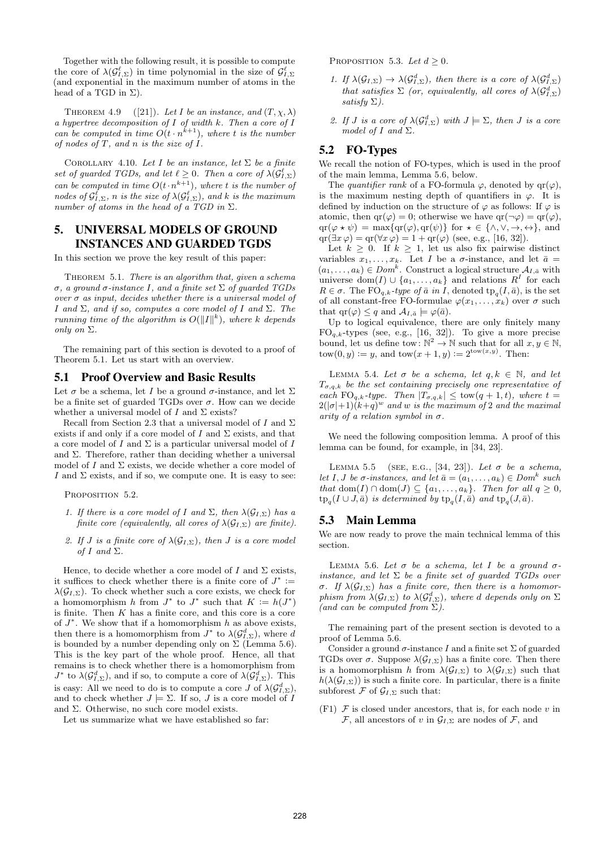Together with the following result, it is possible to compute the core of  $\lambda(\mathcal{G}_{I,\Sigma}^{\ell})$  in time polynomial in the size of  $\mathcal{G}_{I,\Sigma}^{\ell}$ (and exponential in the maximum number of atoms in the head of a TGD in  $\Sigma$ ).

THEOREM 4.9 ([21]). Let I be an instance, and  $(T, \chi, \lambda)$ a hypertree decomposition of I of width k. Then a core of I can be computed in time  $O(t \cdot n^{k+1})$ , where t is the number of nodes of  $T$ , and  $n$  is the size of  $I$ .

COROLLARY 4.10. Let I be an instance, let  $\Sigma$  be a finite set of guarded TGDs, and let  $\ell \geq 0$ . Then a core of  $\lambda(\mathcal{G}_{I,\Sigma}^{\ell})$ can be computed in time  $O(t \cdot n^{k+1})$ , where t is the number of nodes of  $\mathcal{G}^{\ell}_{I,\Sigma}$ , n is the size of  $\lambda(\mathcal{G}^{\ell}_{I,\Sigma})$ , and k is the maximum number of atoms in the head of a TGD in  $\Sigma$ .

## 5. UNIVERSAL MODELS OF GROUND INSTANCES AND GUARDED TGDS

In this section we prove the key result of this paper:

THEOREM 5.1. There is an algorithm that, given a schema σ, a ground σ-instance I, and a finite set Σ of guarded TGDs over  $\sigma$  as input, decides whether there is a universal model of I and  $\Sigma$ , and if so, computes a core model of I and  $\Sigma$ . The running time of the algorithm is  $O(||I||^k)$ , where k depends only on  $\Sigma$ .

The remaining part of this section is devoted to a proof of Theorem 5.1. Let us start with an overview.

#### 5.1 Proof Overview and Basic Results

Let  $\sigma$  be a schema, let I be a ground  $\sigma$ -instance, and let  $\Sigma$ be a finite set of guarded TGDs over  $\sigma$ . How can we decide whether a universal model of  $I$  and  $\Sigma$  exists?

Recall from Section 2.3 that a universal model of  $I$  and  $\Sigma$ exists if and only if a core model of  $I$  and  $\Sigma$  exists, and that a core model of I and  $\Sigma$  is a particular universal model of I and  $\Sigma$ . Therefore, rather than deciding whether a universal model of I and  $\Sigma$  exists, we decide whether a core model of I and  $\Sigma$  exists, and if so, we compute one. It is easy to see:

PROPOSITION 5.2.

- 1. If there is a core model of I and  $\Sigma$ , then  $\lambda(\mathcal{G}_{I,\Sigma})$  has a finite core (equivalently, all cores of  $\lambda(\mathcal{G}_{I,\Sigma})$  are finite).
- 2. If J is a finite core of  $\lambda(\mathcal{G}_{I,\Sigma})$ , then J is a core model of I and  $\Sigma$ .

Hence, to decide whether a core model of I and  $\Sigma$  exists, it suffices to check whether there is a finite core of  $J^* :=$  $\lambda(\mathcal{G}_{I,\Sigma})$ . To check whether such a core exists, we check for a homomorphism h from  $J^*$  to  $J^*$  such that  $K := h(J^*)$ is finite. Then  $K$  has a finite core, and this core is a core of  $J^*$ . We show that if a homomorphism h as above exists, then there is a homomorphism from  $J^*$  to  $\lambda(\mathcal{G}_{I,\Sigma}^d)$ , where d is bounded by a number depending only on  $\Sigma$  (Lemma 5.6). This is the key part of the whole proof. Hence, all that remains is to check whether there is a homomorphism from  $J^*$  to  $\lambda(\mathcal{G}_{I,\Sigma}^d)$ , and if so, to compute a core of  $\lambda(\mathcal{G}_{I,\Sigma}^d)$ . This is easy: All we need to do is to compute a core J of  $\lambda(\mathcal{G}_{I,\Sigma}^d)$ , and to check whether  $J \models \Sigma$ . If so, J is a core model of I and Σ. Otherwise, no such core model exists.

Let us summarize what we have established so far:

PROPOSITION 5.3. Let  $d \geq 0$ .

- 1. If  $\lambda(\mathcal{G}_{I,\Sigma}) \to \lambda(\mathcal{G}_{I,\Sigma}^d)$ , then there is a core of  $\lambda(\mathcal{G}_{I,\Sigma}^d)$ that satisfies  $\Sigma$  (or, equivalently, all cores of  $\lambda(\mathcal{G}_{I,\Sigma}^d)$ satisfy  $\Sigma$ ).
- 2. If J is a core of  $\lambda(\mathcal{G}_{I,\Sigma}^d)$  with  $J \models \Sigma$ , then J is a core model of I and  $\Sigma$ .

### 5.2 FO-Types

We recall the notion of FO-types, which is used in the proof of the main lemma, Lemma 5.6, below.

The quantifier rank of a FO-formula  $\varphi$ , denoted by  $\text{qr}(\varphi)$ , is the maximum nesting depth of quantifiers in  $\varphi$ . It is defined by induction on the structure of  $\varphi$  as follows: If  $\varphi$  is atomic, then  $qr(\varphi) = 0$ ; otherwise we have  $qr(\neg \varphi) = qr(\varphi)$ ,  $\text{qr}(\varphi \star \psi) = \max\{\text{qr}(\varphi), \text{qr}(\psi)\}\$ for  $\star \in \{\wedge, \vee, \rightarrow, \leftrightarrow\},\$ and  $\text{qr}(\exists x \varphi) = \text{qr}(\forall x \varphi) = 1 + \text{qr}(\varphi)$  (see, e.g., [16, 32]).

Let  $k \geq 0$ . If  $k \geq 1$ , let us also fix pairwise distinct variables  $x_1, \ldots, x_k$ . Let *I* be a  $\sigma$ -instance, and let  $\bar{a} =$  $(a_1, \ldots, a_k) \in Dom^k$ . Construct a logical structure  $\mathcal{A}_{I,\bar{a}}$  with universe  $dom(I) \cup \{a_1, \ldots, a_k\}$  and relations  $R^I$  for each  $R \in \sigma$ . The FO<sub>q,k</sub>-type of  $\bar{a}$  in I, denoted  $tp_q(I, \bar{a})$ , is the set of all constant-free FO-formulae  $\varphi(x_1, \ldots, x_k)$  over  $\sigma$  such that  $qr(\varphi) \leq q$  and  $\mathcal{A}_{I,\bar{a}} \models \varphi(\bar{a})$ .

Up to logical equivalence, there are only finitely many  $FO_{q,k}$ -types (see, e.g., [16, 32]). To give a more precise bound, let us define tow:  $\mathbb{N}^2 \to \mathbb{N}$  such that for all  $x, y \in \mathbb{N}$ ,  $tow(0, y) := y$ , and  $tow(x + 1, y) := 2^{tow(x, y)}$ . Then:

LEMMA 5.4. Let  $\sigma$  be a schema, let  $q, k \in \mathbb{N}$ , and let  $T_{\sigma,q,k}$  be the set containing precisely one representative of each FO<sub>q,k</sub>-type. Then  $|T_{\sigma,q,k}| \leq \text{tow}(q+1,t)$ , where  $t =$  $2(|\sigma|+1)(k+q)^w$  and w is the maximum of 2 and the maximal arity of a relation symbol in  $\sigma$ .

We need the following composition lemma. A proof of this lemma can be found, for example, in [34, 23].

LEMMA 5.5 (SEE, E.G., [34, 23]). Let  $\sigma$  be a schema, let I, J be  $\sigma$ -instances, and let  $\bar{a} = (a_1, \ldots, a_k) \in Dom^k$  such that dom(I)  $\cap$  dom(J)  $\subseteq$  {a<sub>1</sub>,...,a<sub>k</sub>}. Then for all  $q \ge 0$ ,  $\text{tp}_q(I \cup J, \bar{a})$  is determined by  $\text{tp}_q(I, \bar{a})$  and  $\text{tp}_q(J, \bar{a})$ .

#### 5.3 Main Lemma

We are now ready to prove the main technical lemma of this section.

LEMMA 5.6. Let  $\sigma$  be a schema, let I be a ground  $\sigma$ instance, and let  $\Sigma$  be a finite set of guarded TGDs over σ. If  $\lambda(\mathcal{G}_{I,\Sigma})$  has a finite core, then there is a homomorphism from  $\lambda(G_{I,\Sigma})$  to  $\lambda(\mathcal{G}_{I,\Sigma}^d)$ , where d depends only on  $\Sigma$ (and can be computed from  $\Sigma$ ).

The remaining part of the present section is devoted to a proof of Lemma 5.6.

Consider a ground  $\sigma$ -instance I and a finite set  $\Sigma$  of guarded TGDs over  $\sigma$ . Suppose  $\lambda(\mathcal{G}_{I,\Sigma})$  has a finite core. Then there is a homomorphism h from  $\lambda(\mathcal{G}_{I,\Sigma})$  to  $\lambda(\mathcal{G}_{I,\Sigma})$  such that  $h(\lambda(\mathcal{G}_{I,\Sigma}))$  is such a finite core. In particular, there is a finite subforest  $\mathcal F$  of  $\mathcal G_{I,\Sigma}$  such that:

 $(F1)$  F is closed under ancestors, that is, for each node v in  $\mathcal{F}$ , all ancestors of v in  $\mathcal{G}_{I,\Sigma}$  are nodes of  $\mathcal{F}$ , and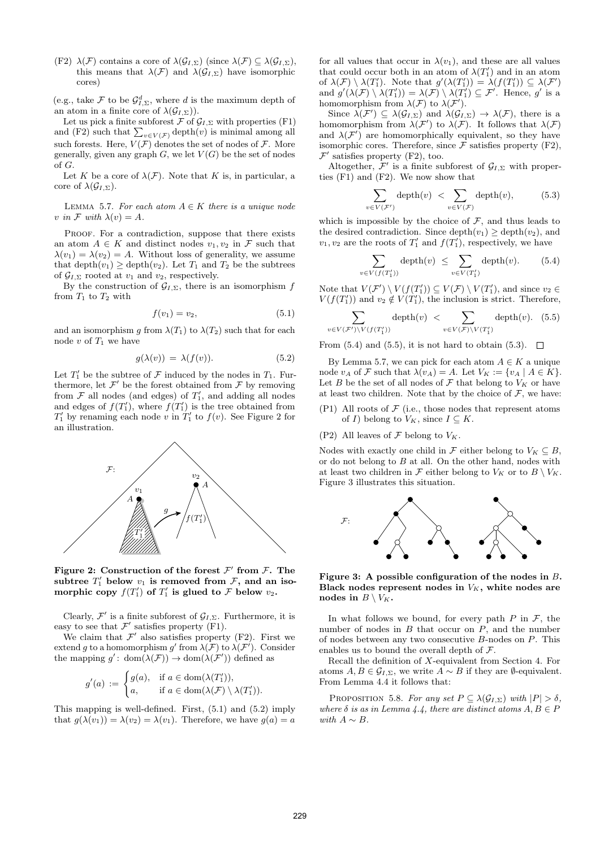(F2)  $\lambda(\mathcal{F})$  contains a core of  $\lambda(\mathcal{G}_{I,\Sigma})$  (since  $\lambda(\mathcal{F}) \subseteq \lambda(\mathcal{G}_{I,\Sigma}),$ this means that  $\lambda(\mathcal{F})$  and  $\lambda(\mathcal{G}_{I,\Sigma})$  have isomorphic cores)

(e.g., take F to be  $\mathcal{G}^d_{I,\Sigma}$ , where d is the maximum depth of an atom in a finite core of  $\lambda(\mathcal{G}_{I,\Sigma})$ ).

Let us pick a finite subforest  $\mathcal F$  of  $\mathcal G_{I,\Sigma}$  with properties (F1) and (F2) such that  $\sum_{v \in V(\mathcal{F})} \text{depth}(v)$  is minimal among all such forests. Here,  $V(\mathcal{F})$  denotes the set of nodes of  $\mathcal{F}$ . More generally, given any graph  $G$ , we let  $V(G)$  be the set of nodes of G.

Let K be a core of  $\lambda(\mathcal{F})$ . Note that K is, in particular, a core of  $\lambda(\mathcal{G}_{I,\Sigma})$ .

LEMMA 5.7. For each atom  $A \in K$  there is a unique node v in F with  $\lambda(v) = A$ .

PROOF. For a contradiction, suppose that there exists an atom  $A \in K$  and distinct nodes  $v_1, v_2$  in  $\mathcal F$  such that  $\lambda(v_1) = \lambda(v_2) = A$ . Without loss of generality, we assume that depth $(v_1) \geq$  depth $(v_2)$ . Let  $T_1$  and  $T_2$  be the subtrees of  $\mathcal{G}_{I,\Sigma}$  rooted at  $v_1$  and  $v_2$ , respectively.

By the construction of  $\mathcal{G}_{I,\Sigma}$ , there is an isomorphism f from  $T_1$  to  $T_2$  with

$$
f(v_1) = v_2,\tag{5.1}
$$

and an isomorphism q from  $\lambda(T_1)$  to  $\lambda(T_2)$  such that for each node v of  $T_1$  we have

$$
g(\lambda(v)) = \lambda(f(v)). \tag{5.2}
$$

Let  $T_1'$  be the subtree of  $\mathcal F$  induced by the nodes in  $T_1$ . Furthermore, let  $\mathcal{F}'$  be the forest obtained from  $\mathcal F$  by removing from  $\mathcal F$  all nodes (and edges) of  $T_1'$ , and adding all nodes and edges of  $f(T_1')$ , where  $f(T_1')$  is the tree obtained from  $T'_1$  by renaming each node v in  $T'_1$  to  $f(v)$ . See Figure 2 for an illustration.



Figure 2: Construction of the forest  $\mathcal{F}'$  from  $\mathcal{F}.$  The subtree  $T'_1$  below  $v_1$  is removed from  $\mathcal{F}$ , and an isomorphic copy  $f(T'_1)$  of  $T'_1$  is glued to  ${\cal F}$  below  $v_2.$ 

Clearly,  $\mathcal{F}'$  is a finite subforest of  $\mathcal{G}_{I,\Sigma}$ . Furthermore, it is easy to see that  $\mathcal{F}'$  satisfies property (F1).

We claim that  $\mathcal{F}'$  also satisfies property (F2). First we extend g to a homomorphism g' from  $\lambda(\mathcal{F})$  to  $\lambda(\mathcal{F}')$ . Consider the mapping  $g' \colon \text{dom}(\lambda(\mathcal{F})) \to \text{dom}(\lambda(\mathcal{F}'))$  defined as

$$
g'(a) := \begin{cases} g(a), & \text{if } a \in \text{dom}(\lambda(T'_1)), \\ a, & \text{if } a \in \text{dom}(\lambda(\mathcal{F}) \setminus \lambda(T'_1)). \end{cases}
$$

This mapping is well-defined. First, (5.1) and (5.2) imply that  $g(\lambda(v_1)) = \lambda(v_2) = \lambda(v_1)$ . Therefore, we have  $g(a) = a$  for all values that occur in  $\lambda(v_1)$ , and these are all values that could occur both in an atom of  $\lambda(T_1')$  and in an atom of  $\lambda(\mathcal{F}) \setminus \lambda(T'_1)$ . Note that  $g'(\lambda(T'_1)) = \lambda(f(T'_1)) \subseteq \lambda(\mathcal{F}')$ and  $g'(\lambda(\mathcal{F}) \setminus \lambda(T'_1)) = \lambda(\mathcal{F}) \setminus \lambda(T'_1) \subseteq \mathcal{F}'$ . Hence, g' is a homomorphism from  $\lambda(\mathcal{F})$  to  $\lambda(\mathcal{F}')$ .

Since  $\lambda(\mathcal{F}') \subseteq \lambda(\mathcal{G}_{I,\Sigma})$  and  $\lambda(\mathcal{G}_{I,\Sigma}) \to \lambda(\mathcal{F})$ , there is a homomorphism from  $\lambda(\mathcal{F}')$  to  $\lambda(\mathcal{F})$ . It follows that  $\lambda(\mathcal{F})$ and  $\lambda(\mathcal{F}')$  are homomorphically equivalent, so they have isomorphic cores. Therefore, since  $\mathcal F$  satisfies property (F2),  $\mathcal{F}'$  satisfies property (F2), too.

Altogether,  $\mathcal{F}'$  is a finite subforest of  $\mathcal{G}_{I,\Sigma}$  with properties (F1) and (F2). We now show that

$$
\sum_{v \in V(\mathcal{F}')} \text{depth}(v) < \sum_{v \in V(\mathcal{F})} \text{depth}(v), \tag{5.3}
$$

which is impossible by the choice of  $\mathcal{F}$ , and thus leads to the desired contradiction. Since  $\text{depth}(v_1) \geq \text{depth}(v_2)$ , and  $v_1, v_2$  are the roots of  $T'_1$  and  $f(T'_1)$ , respectively, we have

$$
\sum_{v \in V(f(T_1'))} \text{depth}(v) \le \sum_{v \in V(T_1')} \text{depth}(v). \tag{5.4}
$$

Note that  $V(\mathcal{F}') \setminus V(f(T'_1)) \subseteq V(\mathcal{F}) \setminus V(T'_1)$ , and since  $v_2 \in$  $V(f(T'_1))$  and  $v_2 \notin V(T'_1)$ , the inclusion is strict. Therefore,

$$
\sum_{v \in V(\mathcal{F}') \backslash V(f(T_1'))} \text{depth}(v) < \sum_{v \in V(\mathcal{F}) \backslash V(T_1')} \text{depth}(v). \tag{5.5}
$$

From  $(5.4)$  and  $(5.5)$ , it is not hard to obtain  $(5.3)$ .

By Lemma 5.7, we can pick for each atom  $A \in K$  a unique node  $v_A$  of F such that  $\lambda(v_A) = A$ . Let  $V_K := \{v_A \mid A \in K\}.$ Let B be the set of all nodes of F that belong to  $V_K$  or have at least two children. Note that by the choice of  $\mathcal{F}$ , we have:

- (P1) All roots of  $F$  (i.e., those nodes that represent atoms of *I*) belong to  $V_K$ , since  $I \subseteq K$ .
- (P2) All leaves of  $\mathcal F$  belong to  $V_K$ .

Nodes with exactly one child in F either belong to  $V_K \subseteq B$ , or do not belong to  $B$  at all. On the other hand, nodes with at least two children in  $\mathcal F$  either belong to  $V_K$  or to  $B \setminus V_K$ . Figure 3 illustrates this situation.



Figure 3: A possible configuration of the nodes in B. Black nodes represent nodes in  $V_K$ , white nodes are nodes in  $B \setminus V_K$ .

In what follows we bound, for every path  $P$  in  $\mathcal{F}$ , the number of nodes in  $B$  that occur on  $P$ , and the number of nodes between any two consecutive B-nodes on P. This enables us to bound the overall depth of  $\mathcal{F}$ .

Recall the definition of X-equivalent from Section 4. For atoms  $A, B \in \mathcal{G}_{I,\Sigma}$ , we write  $A \sim B$  if they are  $\emptyset$ -equivalent. From Lemma 4.4 it follows that:

PROPOSITION 5.8. For any set  $P \subseteq \lambda(\mathcal{G}_{I,\Sigma})$  with  $|P| > \delta$ , where  $\delta$  is as in Lemma 4.4, there are distinct atoms  $A, B \in P$ with  $A \sim B$ .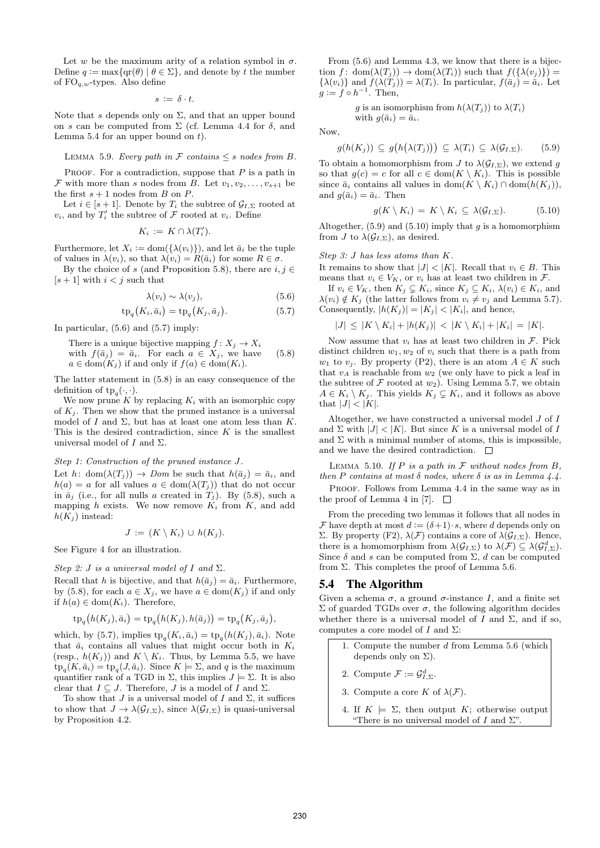Let w be the maximum arity of a relation symbol in  $\sigma$ . Define  $q := \max\{qr(\theta) | \theta \in \Sigma\}$ , and denote by t the number of  $FO_{q,w}$ -types. Also define

 $s := \delta \cdot t$ .

Note that s depends only on  $\Sigma$ , and that an upper bound on s can be computed from  $\Sigma$  (cf. Lemma 4.4 for  $\delta$ , and Lemma 5.4 for an upper bound on  $t$ ).

LEMMA 5.9. Every path in F contains  $\leq s$  nodes from B.

PROOF. For a contradiction, suppose that  $P$  is a path in F with more than s nodes from B. Let  $v_1, v_2, \ldots, v_{s+1}$  be the first  $s + 1$  nodes from B on P.

Let  $i \in [s+1]$ . Denote by  $T_i$  the subtree of  $\mathcal{G}_{I,\Sigma}$  rooted at  $v_i$ , and by  $T'_i$  the subtree of  $\mathcal F$  rooted at  $v_i$ . Define

$$
K_i := K \cap \lambda(T'_i).
$$

Furthermore, let  $X_i := \text{dom}(\{\lambda(v_i)\})$ , and let  $\bar{a}_i$  be the tuple of values in  $\lambda(v_i)$ , so that  $\lambda(v_i) = R(\bar{a}_i)$  for some  $R \in \sigma$ .

By the choice of s (and Proposition 5.8), there are  $i, j \in$  $[s + 1]$  with  $i < j$  such that

$$
\lambda(v_i) \sim \lambda(v_j),\tag{5.6}
$$

$$
\text{tp}_q(K_i, \bar{a}_i) = \text{tp}_q(K_j, \bar{a}_j). \tag{5.7}
$$

In particular,  $(5.6)$  and  $(5.7)$  imply:

There is a unique bijective mapping  $f: X_j \to X_i$ with  $f(\bar{a}_j) = \bar{a}_i$ . For each  $a \in X_j$ , we have  $a \in \text{dom}(K_i)$  if and only if  $f(a) \in \text{dom}(K_i)$ . (5.8)

The latter statement in (5.8) is an easy consequence of the definition of  $tp_q(\cdot, \cdot)$ .

We now prune K by replacing  $K_i$  with an isomorphic copy of  $K_j$ . Then we show that the pruned instance is a universal model of I and  $\Sigma$ , but has at least one atom less than K. This is the desired contradiction, since  $K$  is the smallest universal model of I and  $\Sigma$ .

#### Step 1: Construction of the pruned instance J.

Let h: dom $(\lambda(T_i)) \to Dom$  be such that  $h(\bar{a}_i) = \bar{a}_i$ , and  $h(a) = a$  for all values  $a \in \text{dom}(\lambda(T_i))$  that do not occur in  $\bar{a}_j$  (i.e., for all nulls a created in  $T_j$ ). By (5.8), such a mapping h exists. We now remove  $K_i$  from K, and add  $h(K_i)$  instead:

$$
J := (K \setminus K_i) \cup h(K_j).
$$

See Figure 4 for an illustration.

Step 2: J is a universal model of I and  $\Sigma$ .

Recall that h is bijective, and that  $h(\bar{a}_i) = \bar{a}_i$ . Furthermore, by (5.8), for each  $a \in X_j$ , we have  $a \in \text{dom}(K_j)$  if and only if  $h(a) \in \text{dom}(K_i)$ . Therefore,

$$
\operatorname{tp}_q(h(K_j),\bar{a}_i)=\operatorname{tp}_q\bigl(h(K_j),h(\bar{a}_j)\bigr)=\operatorname{tp}_q\bigl(K_j,\bar{a}_j\bigr),
$$

which, by (5.7), implies  $tp_q(K_i, \bar{a}_i) = tp_q(h(K_j), \bar{a}_i)$ . Note that  $\bar{a}_i$  contains all values that might occur both in  $K_i$ (resp.,  $h(K_i)$ ) and  $K \setminus K_i$ . Thus, by Lemma 5.5, we have  $\text{tp}_q(K, \bar{a}_i) = \text{tp}_q(J, \bar{a}_i)$ . Since  $K \models \Sigma$ , and q is the maximum quantifier rank of a TGD in  $\Sigma$ , this implies  $J \models \Sigma$ . It is also clear that  $I \subseteq J$ . Therefore, J is a model of I and  $\Sigma$ .

To show that J is a universal model of I and  $\Sigma$ , it suffices to show that  $J \to \lambda(\mathcal{G}_{I,\Sigma})$ , since  $\lambda(\mathcal{G}_{I,\Sigma})$  is quasi-universal by Proposition 4.2.

From (5.6) and Lemma 4.3, we know that there is a bijection  $f: dom(\lambda(T_i)) \to dom(\lambda(T_i))$  such that  $f(\{\lambda(v_j)\})$  =  $\{\lambda(v_i)\}\$ and  $f(\lambda(T_j)) = \lambda(T_i)$ . In particular,  $f(\bar{a}_j) = \bar{a}_i$ . Let  $g := f \circ h^{-1}$ . Then,

g is an isomorphism from 
$$
h(\lambda(T_j))
$$
 to  $\lambda(T_i)$   
with  $g(\bar{a}_i) = \bar{a}_i$ .

Now,

$$
g(h(K_j)) \subseteq g(h(\lambda(T_j))) \subseteq \lambda(T_i) \subseteq \lambda(\mathcal{G}_{I,\Sigma}). \tag{5.9}
$$

To obtain a homomorphism from J to  $\lambda(\mathcal{G}_{I,\Sigma})$ , we extend g so that  $g(c) = c$  for all  $c \in \text{dom}(K \setminus K_i)$ . This is possible since  $\bar{a}_i$  contains all values in dom $(K \setminus K_i) \cap \text{dom}(h(K_i)),$ and  $q(\bar{a}_i) = \bar{a}_i$ . Then

$$
g(K \setminus K_i) = K \setminus K_i \subseteq \lambda(\mathcal{G}_{I,\Sigma}). \tag{5.10}
$$

Altogether,  $(5.9)$  and  $(5.10)$  imply that g is a homomorphism from J to  $\lambda(\mathcal{G}_{I,\Sigma})$ , as desired.

Step 3: J has less atoms than K.

It remains to show that  $|J| < |K|$ . Recall that  $v_i \in B$ . This means that  $v_i \in V_K$ , or  $v_i$  has at least two children in  $\mathcal{F}$ .

If  $v_i \in V_K$ , then  $K_j \subsetneq K_i$ , since  $K_j \subseteq K_i$ ,  $\lambda(v_i) \in K_i$ , and  $\lambda(v_i) \notin K_j$  (the latter follows from  $v_i \neq v_j$  and Lemma 5.7). Consequently,  $|h(K_j)| = |K_j| < |K_i|$ , and hence,

$$
|J| \leq |K \setminus K_i| + |h(K_j)| < |K \setminus K_i| + |K_i| = |K|.
$$

Now assume that  $v_i$  has at least two children in  $\mathcal{F}$ . Pick distinct children  $w_1, w_2$  of  $v_i$  such that there is a path from  $w_1$  to  $v_j$ . By property (P2), there is an atom  $A \in K$  such that  $v_A$  is reachable from  $w_2$  (we only have to pick a leaf in the subtree of  $\mathcal F$  rooted at  $w_2$ ). Using Lemma 5.7, we obtain  $A \in K_i \setminus K_j$ . This yields  $K_j \subsetneq K_i$ , and it follows as above that  $|J| < |K|$ .

Altogether, we have constructed a universal model J of I and  $\Sigma$  with  $|J| < |K|$ . But since K is a universal model of I and  $\Sigma$  with a minimal number of atoms, this is impossible, and we have the desired contradiction.  $\quad \Box$ 

LEMMA 5.10. If P is a path in  $\mathcal F$  without nodes from  $B$ , then P contains at most  $\delta$  nodes, where  $\delta$  is as in Lemma 4.4.

PROOF. Follows from Lemma 4.4 in the same way as in the proof of Lemma 4 in [7].  $\square$ 

From the preceding two lemmas it follows that all nodes in F have depth at most  $d := (\delta + 1) \cdot s$ , where d depends only on Σ. By property (F2),  $\lambda(\mathcal{F})$  contains a core of  $\lambda(\mathcal{G}_{I,\Sigma})$ . Hence, there is a homomorphism from  $\lambda(\mathcal{G}_{I,\Sigma})$  to  $\lambda(\mathcal{F}) \subseteq \lambda(\mathcal{G}_{I,\Sigma}^d)$ . Since  $\delta$  and s can be computed from  $\Sigma$ , d can be computed from  $\Sigma$ . This completes the proof of Lemma 5.6.

#### 5.4 The Algorithm

Given a schema  $\sigma$ , a ground  $\sigma$ -instance I, and a finite set Σ of guarded TGDs over σ, the following algorithm decides whether there is a universal model of I and  $\Sigma$ , and if so, computes a core model of  $I$  and  $\Sigma$ :

- 1. Compute the number d from Lemma 5.6 (which depends only on  $\Sigma$ ).
- 2. Compute  $\mathcal{F} := \mathcal{G}_{I,\Sigma}^d$ .
- 3. Compute a core K of  $\lambda(\mathcal{F})$ .
- 4. If  $K \models \Sigma$ , then output K; otherwise output "There is no universal model of I and  $\Sigma$ ".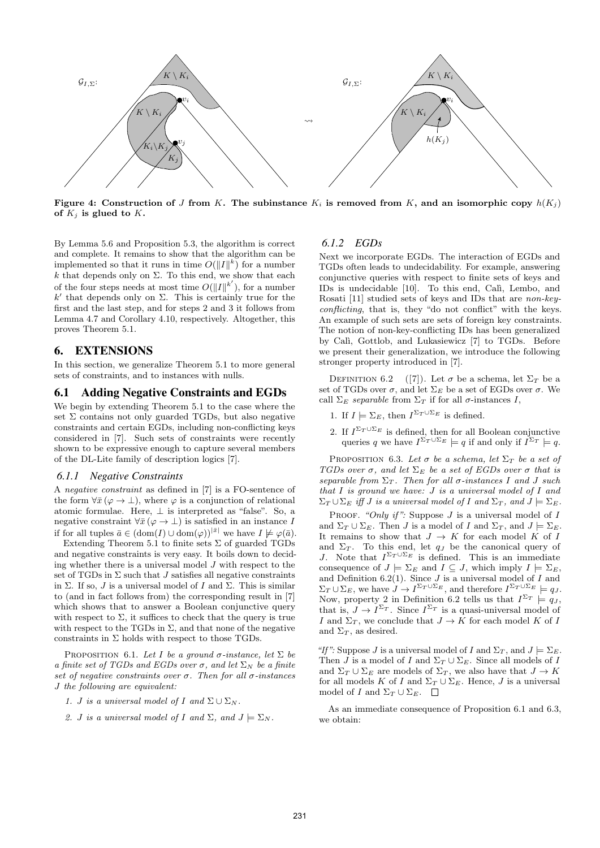

Figure 4: Construction of J from K. The subinstance  $K_i$  is removed from K, and an isomorphic copy  $h(K_i)$ of  $K_j$  is glued to  $K$ .

By Lemma 5.6 and Proposition 5.3, the algorithm is correct and complete. It remains to show that the algorithm can be implemented so that it runs in time  $O(||I||^k)$  for a number k that depends only on  $\Sigma$ . To this end, we show that each of the four steps needs at most time  $O(||I||^{k'})$ , for a number  $k'$  that depends only on Σ. This is certainly true for the first and the last step, and for steps 2 and 3 it follows from Lemma 4.7 and Corollary 4.10, respectively. Altogether, this proves Theorem 5.1.

# 6. EXTENSIONS

In this section, we generalize Theorem 5.1 to more general sets of constraints, and to instances with nulls.

### 6.1 Adding Negative Constraints and EGDs

We begin by extending Theorem 5.1 to the case where the set  $\Sigma$  contains not only guarded TGDs, but also negative constraints and certain EGDs, including non-conflicting keys considered in [7]. Such sets of constraints were recently shown to be expressive enough to capture several members of the DL-Lite family of description logics [7].

#### *6.1.1 Negative Constraints*

A negative constraint as defined in [7] is a FO-sentence of the form  $\forall \bar{x} (\varphi \to \bot)$ , where  $\varphi$  is a conjunction of relational atomic formulae. Here,  $\perp$  is interpreted as "false". So, a negative constraint  $\forall \bar{x} (\varphi \to \bot)$  is satisfied in an instance I if for all tuples  $\bar{a} \in (\text{dom}(I) \cup \text{dom}(\varphi))^{|\bar{x}|}$  we have  $I \not\models \varphi(\bar{a})$ .

Extending Theorem 5.1 to finite sets  $\Sigma$  of guarded TGDs and negative constraints is very easy. It boils down to deciding whether there is a universal model  $J$  with respect to the set of TGDs in  $\Sigma$  such that J satisfies all negative constraints in Σ. If so, *J* is a universal model of *I* and Σ. This is similar to (and in fact follows from) the corresponding result in [7] which shows that to answer a Boolean conjunctive query with respect to  $\Sigma$ , it suffices to check that the query is true with respect to the TGDs in  $\Sigma$ , and that none of the negative constraints in  $\Sigma$  holds with respect to those TGDs.

PROPOSITION 6.1. Let I be a ground  $\sigma$ -instance, let  $\Sigma$  be a finite set of TGDs and EGDs over  $\sigma$ , and let  $\Sigma_N$  be a finite set of negative constraints over  $\sigma$ . Then for all  $\sigma$ -instances J the following are equivalent:

- 1. J is a universal model of I and  $\Sigma \cup \Sigma_N$ .
- 2. J is a universal model of I and  $\Sigma$ , and  $J \models \Sigma_N$ .

### *6.1.2 EGDs*

Next we incorporate EGDs. The interaction of EGDs and TGDs often leads to undecidability. For example, answering conjunctive queries with respect to finite sets of keys and IDs is undecidable [10]. To this end, Calì, Lembo, and Rosati [11] studied sets of keys and IDs that are non-keyconflicting, that is, they "do not conflict" with the keys. An example of such sets are sets of foreign key constraints. The notion of non-key-conflicting IDs has been generalized by Calì, Gottlob, and Lukasiewicz [7] to TGDs. Before we present their generalization, we introduce the following stronger property introduced in [7].

DEFINITION 6.2 ([7]). Let  $\sigma$  be a schema, let  $\Sigma_T$  be a set of TGDs over  $\sigma$ , and let  $\Sigma_E$  be a set of EGDs over  $\sigma$ . We call  $\Sigma_E$  separable from  $\Sigma_T$  if for all  $\sigma$ -instances I,

- 1. If  $I \models \Sigma_E$ , then  $I^{\Sigma_T \cup \Sigma_E}$  is defined.
- 2. If  $I^{\Sigma_T \cup \Sigma_E}$  is defined, then for all Boolean conjunctive queries q we have  $I^{\Sigma_T \cup \Sigma_E} \models q$  if and only if  $I^{\Sigma_T} \models q$ .

PROPOSITION 6.3. Let  $\sigma$  be a schema, let  $\Sigma_T$  be a set of TGDs over  $\sigma$ , and let  $\Sigma_E$  be a set of EGDs over  $\sigma$  that is separable from  $\Sigma_T$ . Then for all  $\sigma$ -instances I and J such that  $I$  is ground we have:  $J$  is a universal model of  $I$  and  $\Sigma_T \cup \Sigma_E$  iff J is a universal model of I and  $\Sigma_T$ , and  $J \models \Sigma_E$ .

PROOF. "Only if": Suppose  $J$  is a universal model of  $I$ and  $\Sigma_T \cup \Sigma_E$ . Then *J* is a model of *I* and  $\Sigma_T$ , and  $J \models \Sigma_E$ . It remains to show that  $J \to K$  for each model K of I and  $\Sigma_T$ . To this end, let  $q_J$  be the canonical query of J. Note that  $I^{\Sigma_T \cup \Sigma_E}$  is defined. This is an immediate consequence of  $J \models \Sigma_E$  and  $I \subseteq J$ , which imply  $I \models \Sigma_E$ , and Definition 6.2(1). Since  $J$  is a universal model of  $I$  and  $\Sigma_T \cup \Sigma_E$ , we have  $J \to I^{\Sigma_T \cup \Sigma_E}$ , and therefore  $I^{\Sigma_T \cup \Sigma_E} \models q_J$ . Now, property 2 in Definition 6.2 tells us that  $I^{\Sigma_T} \models q_J$ , that is,  $J \to I^{\Sigma_T}$ . Since  $I^{\Sigma_T}$  is a quasi-universal model of I and  $\Sigma_T$ , we conclude that  $J \to K$  for each model K of I and  $\Sigma_T$ , as desired.

"If": Suppose J is a universal model of I and  $\Sigma_T$ , and  $J \models \Sigma_F$ . Then *J* is a model of *I* and  $\Sigma_T \cup \Sigma_E$ . Since all models of *I* and  $\Sigma_T \cup \Sigma_E$  are models of  $\Sigma_T$ , we also have that  $J \to K$ for all models K of I and  $\Sigma_T \cup \Sigma_E$ . Hence, J is a universal model of I and  $\Sigma_T \cup \Sigma_E$ .  $\square$ 

As an immediate consequence of Proposition 6.1 and 6.3, we obtain: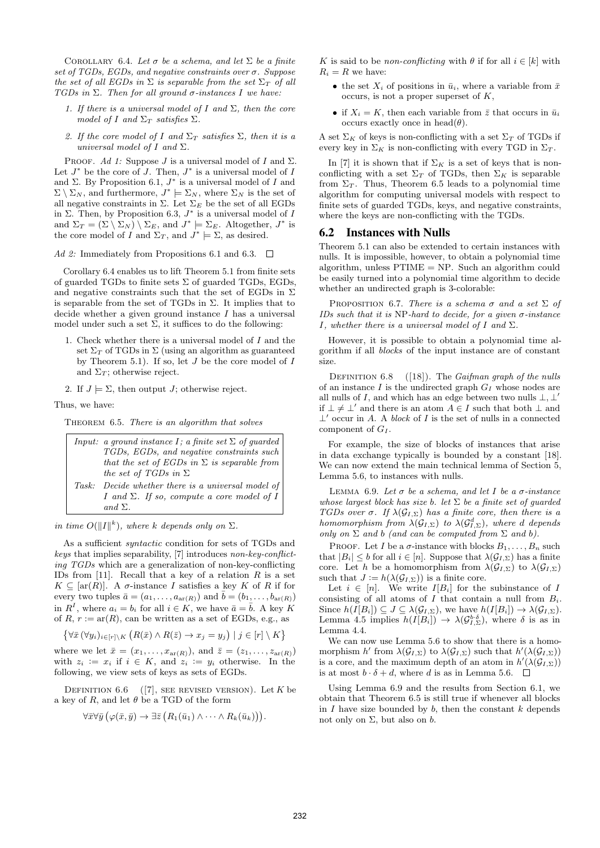COROLLARY 6.4. Let  $\sigma$  be a schema, and let  $\Sigma$  be a finite set of TGDs, EGDs, and negative constraints over  $\sigma$ . Suppose the set of all EGDs in  $\Sigma$  is separable from the set  $\Sigma_T$  of all TGDs in  $\Sigma$ . Then for all ground  $\sigma$ -instances I we have:

- 1. If there is a universal model of I and  $\Sigma$ , then the core model of I and  $\Sigma_T$  satisfies  $\Sigma$ .
- 2. If the core model of I and  $\Sigma_T$  satisfies  $\Sigma$ , then it is a universal model of I and  $\Sigma$ .

PROOF. Ad 1: Suppose J is a universal model of I and  $\Sigma$ . Let  $J^*$  be the core of  $J$ . Then,  $J^*$  is a universal model of  $I$ and  $\Sigma$ . By Proposition 6.1,  $J^*$  is a universal model of I and  $\Sigma \setminus \Sigma_N$ , and furthermore,  $J^* \models \Sigma_N$ , where  $\Sigma_N$  is the set of all negative constraints in  $\Sigma$ . Let  $\Sigma_E$  be the set of all EGDs in  $\Sigma$ . Then, by Proposition 6.3,  $J^*$  is a universal model of  $I$ and  $\Sigma_T = (\Sigma \setminus \Sigma_N) \setminus \Sigma_E$ , and  $J^* \models \Sigma_E$ . Altogether,  $J^*$  is the core model of I and  $\Sigma_T$ , and  $J^* \models \Sigma$ , as desired.

Ad 2: Immediately from Propositions 6.1 and 6.3.  $\Box$ 

Corollary 6.4 enables us to lift Theorem 5.1 from finite sets of guarded TGDs to finite sets  $\Sigma$  of guarded TGDs, EGDs, and negative constraints such that the set of EGDs in  $\Sigma$ is separable from the set of TGDs in  $\Sigma$ . It implies that to decide whether a given ground instance  $I$  has a universal model under such a set  $\Sigma$ , it suffices to do the following:

- 1. Check whether there is a universal model of  $I$  and the set  $\Sigma_T$  of TGDs in  $\Sigma$  (using an algorithm as guaranteed by Theorem 5.1). If so, let  $J$  be the core model of  $I$ and  $\Sigma_T$ ; otherwise reject.
- 2. If  $J \models \Sigma$ , then output J; otherwise reject.

Thus, we have:

THEOREM 6.5. There is an algorithm that solves

| <i>Input: a ground instance I; a finite set</i> $\Sigma$ of <i>guarded</i> |
|----------------------------------------------------------------------------|
| TGDs, EGDs, and negative constraints such                                  |
| that the set of EGDs in $\Sigma$ is separable from                         |
| the set of TGDs in $\Sigma$                                                |
| Task: Decide whether there is a universal model of                         |

I and  $\Sigma$ . If so, compute a core model of I

and Σ.

in time  $O(||I||^k)$ , where k depends only on  $\Sigma$ .

As a sufficient syntactic condition for sets of TGDs and keys that implies separability, [7] introduces non-key-conflicting TGDs which are a generalization of non-key-conflicting IDs from  $[11]$ . Recall that a key of a relation R is a set  $K \subseteq [\text{ar}(R)]$ . A  $\sigma$ -instance I satisfies a key K of R if for every two tuples  $\bar{a} = (a_1, \ldots, a_{\text{ar}(R)})$  and  $b = (b_1, \ldots, b_{\text{ar}(R)})$ in  $R^I$ , where  $a_i = b_i$  for all  $i \in K$ , we have  $\bar{a} = \bar{b}$ . A key K of R,  $r := \text{ar}(R)$ , can be written as a set of EGDs, e.g., as

$$
\left\{ \forall \bar{x} \left( \forall y_i \right)_{i \in [r] \setminus K} \left( R(\bar{x}) \land R(\bar{z}) \rightarrow x_j = y_j \right) \mid j \in [r] \setminus K \right\}
$$

where we let  $\bar{x}=(x_1,\ldots,x_{\text{ar}(R)})$ , and  $\bar{z}=(z_1,\ldots,z_{\text{ar}(R)})$ with  $z_i := x_i$  if  $i \in K$ , and  $z_i := y_i$  otherwise. In the following, we view sets of keys as sets of EGDs.

DEFINITION 6.6 ([7], SEE REVISED VERSION). Let K be a key of  $R$ , and let  $\theta$  be a TGD of the form

$$
\forall \bar{x} \forall \bar{y} \left( \varphi(\bar{x}, \bar{y}) \to \exists \bar{z} \left( R_1(\bar{u}_1) \wedge \cdots \wedge R_k(\bar{u}_k) \right) \right).
$$

K is said to be non-conflicting with  $\theta$  if for all  $i \in [k]$  with  $R_i = R$  we have:

- the set  $X_i$  of positions in  $\bar{u}_i$ , where a variable from  $\bar{x}$ occurs, is not a proper superset of  $K$ ,
- if  $X_i = K$ , then each variable from  $\bar{z}$  that occurs in  $\bar{u}_i$ occurs exactly once in head $(\theta)$ .

A set  $\Sigma_K$  of keys is non-conflicting with a set  $\Sigma_T$  of TGDs if every key in  $\Sigma_K$  is non-conflicting with every TGD in  $\Sigma_T$ .

In [7] it is shown that if  $\Sigma_K$  is a set of keys that is nonconflicting with a set  $\Sigma_T$  of TGDs, then  $\Sigma_K$  is separable from  $\Sigma_T$ . Thus, Theorem 6.5 leads to a polynomial time algorithm for computing universal models with respect to finite sets of guarded TGDs, keys, and negative constraints, where the keys are non-conflicting with the TGDs.

#### 6.2 Instances with Nulls

Theorem 5.1 can also be extended to certain instances with nulls. It is impossible, however, to obtain a polynomial time algorithm, unless  $PTIME = NP$ . Such an algorithm could be easily turned into a polynomial time algorithm to decide whether an undirected graph is 3-colorable:

PROPOSITION 6.7. There is a schema  $\sigma$  and a set  $\Sigma$  of IDs such that it is NP-hard to decide, for a given  $\sigma$ -instance I, whether there is a universal model of I and  $\Sigma$ .

However, it is possible to obtain a polynomial time algorithm if all blocks of the input instance are of constant size.

DEFINITION  $6.8$  ([18]). The Gaifman graph of the nulls of an instance  $I$  is the undirected graph  $G_I$  whose nodes are all nulls of I, and which has an edge between two nulls  $\perp, \perp'$ if  $\bot \neq \bot'$  and there is an atom  $A \in I$  such that both  $\bot$  and  $\perp'$  occur in A. A block of I is the set of nulls in a connected component of  $G_I$ .

For example, the size of blocks of instances that arise in data exchange typically is bounded by a constant [18]. We can now extend the main technical lemma of Section 5, Lemma 5.6, to instances with nulls.

LEMMA 6.9. Let  $\sigma$  be a schema, and let I be a  $\sigma$ -instance whose largest block has size b. let  $\Sigma$  be a finite set of guarded TGDs over  $\sigma$ . If  $\lambda(\mathcal{G}_{I,\Sigma})$  has a finite core, then there is a homomorphism from  $\lambda(\mathcal{G}_{I,\Sigma})$  to  $\lambda(\mathcal{G}_{I,\Sigma}^d)$ , where d depends only on  $\Sigma$  and b (and can be computed from  $\Sigma$  and b).

PROOF. Let I be a  $\sigma$ -instance with blocks  $B_1, \ldots, B_n$  such that  $|B_i| \leq b$  for all  $i \in [n]$ . Suppose that  $\lambda(\mathcal{G}_{I,\Sigma})$  has a finite core. Let h be a homomorphism from  $\lambda(\mathcal{G}_{I,\Sigma})$  to  $\lambda(\mathcal{G}_{I,\Sigma})$ such that  $J := h(\lambda(\mathcal{G}_{I,\Sigma}))$  is a finite core.

Let  $i \in [n]$ . We write  $I[B_i]$  for the subinstance of I consisting of all atoms of I that contain a null from  $B_i$ . Since  $h(I[B_i]) \subseteq J \subseteq \lambda(\mathcal{G}_{I,\Sigma})$ , we have  $h(I[B_i]) \to \lambda(\mathcal{G}_{I,\Sigma})$ . Lemma 4.5 implies  $h(I[B_i]) \to \lambda(\mathcal{G}_{I,\Sigma}^{b,\delta})$ , where  $\delta$  is as in Lemma 4.4.

We can now use Lemma 5.6 to show that there is a homomorphism h' from  $\lambda(\mathcal{G}_{I,\Sigma})$  to  $\lambda(\mathcal{G}_{I,\Sigma})$  such that  $h'(\lambda(\mathcal{G}_{I,\Sigma}))$ is a core, and the maximum depth of an atom in  $h'(\lambda(\mathcal{G}_{I,\Sigma}))$ is at most  $b \cdot \delta + d$ , where d is as in Lemma 5.6.  $\Box$ 

Using Lemma 6.9 and the results from Section 6.1, we obtain that Theorem 6.5 is still true if whenever all blocks in  $I$  have size bounded by  $b$ , then the constant  $k$  depends not only on  $\Sigma$ , but also on b.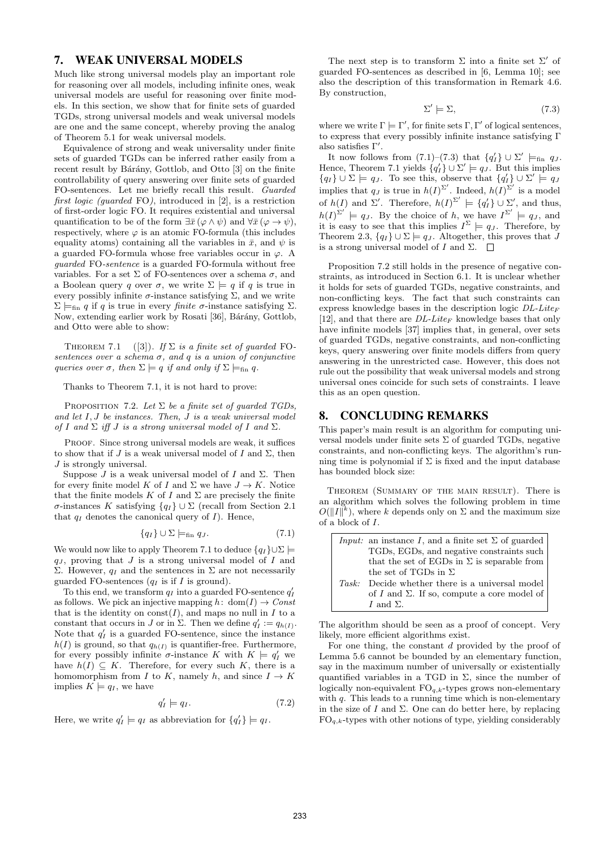## 7. WEAK UNIVERSAL MODELS

Much like strong universal models play an important role for reasoning over all models, including infinite ones, weak universal models are useful for reasoning over finite models. In this section, we show that for finite sets of guarded TGDs, strong universal models and weak universal models are one and the same concept, whereby proving the analog of Theorem 5.1 for weak universal models.

Equivalence of strong and weak universality under finite sets of guarded TGDs can be inferred rather easily from a recent result by Bárány, Gottlob, and Otto [3] on the finite controllability of query answering over finite sets of guarded FO-sentences. Let me briefly recall this result. Guarded first logic (guarded FO), introduced in [2], is a restriction of first-order logic FO. It requires existential and universal quantification to be of the form  $\exists \bar{x}$  ( $\varphi \wedge \psi$ ) and  $\forall \bar{x}$  ( $\varphi \rightarrow \psi$ ), respectively, where  $\varphi$  is an atomic FO-formula (this includes equality atoms) containing all the variables in  $\bar{x}$ , and  $\psi$  is a guarded FO-formula whose free variables occur in  $\varphi$ . A guarded FO-sentence is a guarded FO-formula without free variables. For a set  $\Sigma$  of FO-sentences over a schema  $\sigma$ , and a Boolean query q over  $\sigma$ , we write  $\Sigma \models q$  if q is true in every possibly infinite  $\sigma$ -instance satisfying  $\Sigma$ , and we write  $\Sigma \models_{fin} q$  if q is true in every *finite*  $\sigma$ -instance satisfying  $\Sigma$ . Now, extending earlier work by Rosati [36], Bárány, Gottlob, and Otto were able to show:

THEOREM 7.1 ([3]). If  $\Sigma$  is a finite set of guarded FOsentences over a schema  $\sigma$ , and  $q$  is a union of conjunctive queries over  $\sigma$ , then  $\Sigma \models q$  if and only if  $\Sigma \models_{fin} q$ .

Thanks to Theorem 7.1, it is not hard to prove:

PROPOSITION 7.2. Let  $\Sigma$  be a finite set of guarded TGDs, and let  $I, J$  be instances. Then,  $J$  is a weak universal model of I and  $\Sigma$  iff J is a strong universal model of I and  $\Sigma$ .

PROOF. Since strong universal models are weak, it suffices to show that if J is a weak universal model of I and  $\Sigma$ , then  $J$  is strongly universal.

Suppose J is a weak universal model of I and  $\Sigma$ . Then for every finite model K of I and  $\Sigma$  we have  $J \to K$ . Notice that the finite models K of I and  $\Sigma$  are precisely the finite σ-instances K satisfying {q<sup>I</sup> } ∪ Σ (recall from Section 2.1 that  $q_I$  denotes the canonical query of  $I$ ). Hence,

$$
\{q_I\} \cup \Sigma \models_{\text{fin}} q_J. \tag{7.1}
$$

We would now like to apply Theorem 7.1 to deduce  $\{q_I\} \cup \Sigma$   $\models$  $q_J$ , proving that  $J$  is a strong universal model of  $I$  and Σ. However,  $q_I$  and the sentences in Σ are not necessarily guarded FO-sentences  $(q_I \text{ is if } I \text{ is ground}).$ 

To this end, we transform  $q_I$  into a guarded FO-sentence  $q_I'$ as follows. We pick an injective mapping  $h: dom(I) \rightarrow Const$ that is the identity on  $\text{const}(I)$ , and maps no null in I to a constant that occurs in J or in  $\Sigma$ . Then we define  $q'_I := q_{h(I)}$ . Note that  $q'_I$  is a guarded FO-sentence, since the instance  $h(I)$  is ground, so that  $q_{h(I)}$  is quantifier-free. Furthermore, for every possibly infinite  $\sigma$ -instance K with  $K \models q'_I$  we have  $h(I) \subseteq K$ . Therefore, for every such K, there is a homomorphism from I to K, namely h, and since  $I \to K$ implies  $K \models q_I$ , we have

$$
q'_I \models q_I. \tag{7.2}
$$

Here, we write  $q'_I \models q_I$  as abbreviation for  $\{q'_I\} \models q_I$ .

The next step is to transform  $\Sigma$  into a finite set  $\Sigma'$  of guarded FO-sentences as described in [6, Lemma 10]; see also the description of this transformation in Remark 4.6. By construction,

$$
\Sigma' \models \Sigma,\tag{7.3}
$$

where we write  $\Gamma \models \Gamma'$ , for finite sets  $\Gamma, \Gamma'$  of logical sentences, to express that every possibly infinite instance satisfying Γ also satisfies  $\Gamma'$ .

It now follows from  $(7.1)$ – $(7.3)$  that  $\{q'_I\} \cup \Sigma' \models_{fin} q_J$ . Hence, Theorem 7.1 yields  $\{q'_I\} \cup \Sigma' \models q_J$ . But this implies  ${q_I} \cup \Sigma \models q_J$ . To see this, observe that  ${q'_I} \cup \Sigma' \models q_J$ implies that  $q_J$  is true in  $h(I)^{\Sigma'}$ . Indeed,  $h(I)^{\Sigma'}$  is a model of  $h(I)$  and  $\Sigma'$ . Therefore,  $h(I)^{\Sigma'} \models \{q'_I\} \cup \Sigma'$ , and thus,  $h(I)^{\Sigma'} \models q_J$ . By the choice of h, we have  $I^{\Sigma'} \models q_J$ , and it is easy to see that this implies  $I^{\Sigma} \models q_J$ . Therefore, by Theorem 2.3,  $\{q_I\} \cup \Sigma \models q_J$ . Altogether, this proves that J is a strong universal model of I and  $\Sigma$ .  $\square$ 

Proposition 7.2 still holds in the presence of negative constraints, as introduced in Section 6.1. It is unclear whether it holds for sets of guarded TGDs, negative constraints, and non-conflicting keys. The fact that such constraints can express knowledge bases in the description logic  $DL\text{-}Liter$ [12], and that there are  $DL\text{-}Lite_F$  knowledge bases that only have infinite models [37] implies that, in general, over sets of guarded TGDs, negative constraints, and non-conflicting keys, query answering over finite models differs from query answering in the unrestricted case. However, this does not rule out the possibility that weak universal models and strong universal ones coincide for such sets of constraints. I leave this as an open question.

#### 8. CONCLUDING REMARKS

This paper's main result is an algorithm for computing universal models under finite sets  $\Sigma$  of guarded TGDs, negative constraints, and non-conflicting keys. The algorithm's running time is polynomial if  $\Sigma$  is fixed and the input database has bounded block size:

Theorem (Summary of the main result). There is an algorithm which solves the following problem in time  $O(||I||^k)$ , where k depends only on  $\Sigma$  and the maximum size of a block of I.

|       | <i>Input:</i> an instance I, and a finite set $\Sigma$ of guarded |
|-------|-------------------------------------------------------------------|
|       | TGDs, EGDs, and negative constraints such                         |
|       | that the set of EGDs in $\Sigma$ is separable from $\vert$        |
|       | the set of TGDs in $\Sigma$                                       |
| Task: | Decide whether there is a universal model                         |
|       | of <i>I</i> and $\Sigma$ . If so, compute a core model of         |
|       | I and $\Sigma$ .                                                  |

The algorithm should be seen as a proof of concept. Very likely, more efficient algorithms exist.

For one thing, the constant d provided by the proof of Lemma 5.6 cannot be bounded by an elementary function, say in the maximum number of universally or existentially quantified variables in a TGD in  $\Sigma$ , since the number of logically non-equivalent  $FO_{q,k}$ -types grows non-elementary with  $q$ . This leads to a running time which is non-elementary in the size of I and  $\Sigma$ . One can do better here, by replacing  $FO_{q,k}$ -types with other notions of type, yielding considerably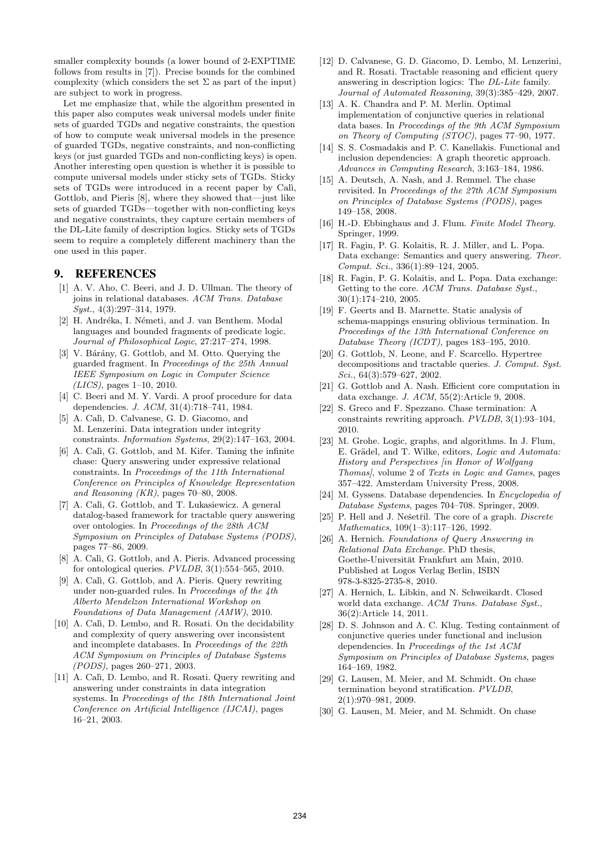smaller complexity bounds (a lower bound of 2-EXPTIME follows from results in [7]). Precise bounds for the combined complexity (which considers the set  $\Sigma$  as part of the input) are subject to work in progress.

Let me emphasize that, while the algorithm presented in this paper also computes weak universal models under finite sets of guarded TGDs and negative constraints, the question of how to compute weak universal models in the presence of guarded TGDs, negative constraints, and non-conflicting keys (or just guarded TGDs and non-conflicting keys) is open. Another interesting open question is whether it is possible to compute universal models under sticky sets of TGDs. Sticky sets of TGDs were introduced in a recent paper by Calì. Gottlob, and Pieris [8], where they showed that—just like sets of guarded TGDs—together with non-conflicting keys and negative constraints, they capture certain members of the DL-Lite family of description logics. Sticky sets of TGDs seem to require a completely different machinery than the one used in this paper.

## 9. REFERENCES

- [1] A. V. Aho, C. Beeri, and J. D. Ullman. The theory of joins in relational databases. ACM Trans. Database Syst., 4(3):297–314, 1979.
- [2] H. Andréka, I. Németi, and J. van Benthem. Modal languages and bounded fragments of predicate logic. Journal of Philosophical Logic, 27:217–274, 1998.
- [3] V. Bárány, G. Gottlob, and M. Otto. Querying the guarded fragment. In Proceedings of the 25th Annual IEEE Symposium on Logic in Computer Science  $(LICS)$ , pages 1–10, 2010.
- [4] C. Beeri and M. Y. Vardi. A proof procedure for data dependencies. J. ACM, 31(4):718–741, 1984.
- [5] A. Calì, D. Calvanese, G. D. Giacomo, and M. Lenzerini. Data integration under integrity constraints. Information Systems, 29(2):147–163, 2004.
- [6] A. Calì, G. Gottlob, and M. Kifer. Taming the infinite chase: Query answering under expressive relational constraints. In Proceedings of the 11th International Conference on Principles of Knowledge Representation and Reasoning  $(KR)$ , pages 70–80, 2008.
- [7] A. Calì, G. Gottlob, and T. Lukasiewicz. A general datalog-based framework for tractable query answering over ontologies. In Proceedings of the 28th ACM Symposium on Principles of Database Systems (PODS), pages 77–86, 2009.
- A. Calì, G. Gottlob, and A. Pieris. Advanced processing for ontological queries. PVLDB, 3(1):554–565, 2010.
- [9] A. Calì, G. Gottlob, and A. Pieris. Query rewriting under non-guarded rules. In Proceedings of the 4th Alberto Mendelzon International Workshop on Foundations of Data Management (AMW), 2010.
- [10] A. Calì, D. Lembo, and R. Rosati. On the decidability and complexity of query answering over inconsistent and incomplete databases. In Proceedings of the 22th ACM Symposium on Principles of Database Systems (PODS), pages 260–271, 2003.
- [11] A. Calì, D. Lembo, and R. Rosati. Query rewriting and answering under constraints in data integration systems. In Proceedings of the 18th International Joint Conference on Artificial Intelligence (IJCAI), pages 16–21, 2003.
- [12] D. Calvanese, G. D. Giacomo, D. Lembo, M. Lenzerini, and R. Rosati. Tractable reasoning and efficient query answering in description logics: The DL-Lite family. Journal of Automated Reasoning, 39(3):385–429, 2007.
- [13] A. K. Chandra and P. M. Merlin. Optimal implementation of conjunctive queries in relational data bases. In Proceedings of the 9th ACM Symposium on Theory of Computing (STOC), pages 77–90, 1977.
- [14] S. S. Cosmadakis and P. C. Kanellakis. Functional and inclusion dependencies: A graph theoretic approach. Advances in Computing Research, 3:163–184, 1986.
- [15] A. Deutsch, A. Nash, and J. Remmel. The chase revisited. In Proceedings of the 27th ACM Symposium on Principles of Database Systems (PODS), pages 149–158, 2008.
- [16] H.-D. Ebbinghaus and J. Flum. Finite Model Theory. Springer, 1999.
- [17] R. Fagin, P. G. Kolaitis, R. J. Miller, and L. Popa. Data exchange: Semantics and query answering. Theor. Comput. Sci., 336(1):89–124, 2005.
- [18] R. Fagin, P. G. Kolaitis, and L. Popa. Data exchange: Getting to the core. ACM Trans. Database Syst., 30(1):174–210, 2005.
- [19] F. Geerts and B. Marnette. Static analysis of schema-mappings ensuring oblivious termination. In Proceedings of the 13th International Conference on Database Theory (ICDT), pages 183–195, 2010.
- [20] G. Gottlob, N. Leone, and F. Scarcello. Hypertree decompositions and tractable queries. J. Comput. Syst. Sci., 64(3):579–627, 2002.
- [21] G. Gottlob and A. Nash. Efficient core computation in data exchange. J. ACM, 55(2):Article 9, 2008.
- [22] S. Greco and F. Spezzano. Chase termination: A constraints rewriting approach. PVLDB, 3(1):93–104, 2010.
- [23] M. Grohe. Logic, graphs, and algorithms. In J. Flum, E. Grädel, and T. Wilke, editors, Logic and Automata: History and Perspectives [in Honor of Wolfgang Thomas], volume 2 of Texts in Logic and Games, pages 357–422. Amsterdam University Press, 2008.
- [24] M. Gyssens. Database dependencies. In Encyclopedia of Database Systems, pages 704–708. Springer, 2009.
- [25] P. Hell and J. Nešetřil. The core of a graph. Discrete Mathematics, 109(1–3):117–126, 1992.
- [26] A. Hernich. Foundations of Query Answering in Relational Data Exchange. PhD thesis, Goethe-Universität Frankfurt am Main, 2010. Published at Logos Verlag Berlin, ISBN 978-3-8325-2735-8, 2010.
- [27] A. Hernich, L. Libkin, and N. Schweikardt. Closed world data exchange. ACM Trans. Database Syst., 36(2):Article 14, 2011.
- [28] D. S. Johnson and A. C. Klug. Testing containment of conjunctive queries under functional and inclusion dependencies. In Proceedings of the 1st ACM Symposium on Principles of Database Systems, pages 164–169, 1982.
- [29] G. Lausen, M. Meier, and M. Schmidt. On chase termination beyond stratification. PVLDB, 2(1):970–981, 2009.
- [30] G. Lausen, M. Meier, and M. Schmidt. On chase